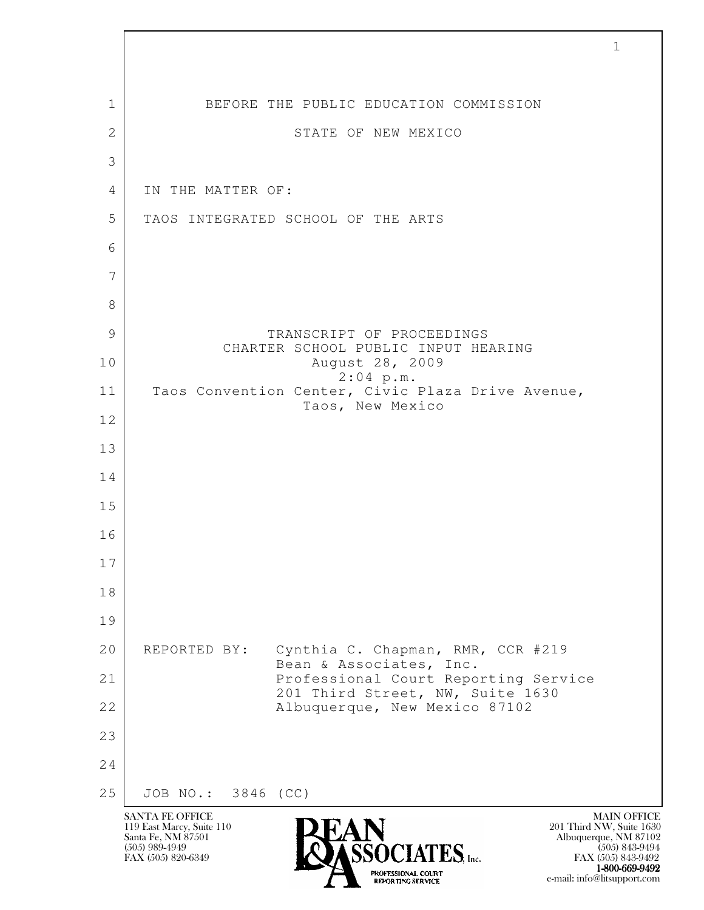| $\mathbf{1}$ | BEFORE THE PUBLIC EDUCATION COMMISSION                                       |
|--------------|------------------------------------------------------------------------------|
| $\mathbf{2}$ | STATE OF NEW MEXICO                                                          |
| 3            |                                                                              |
| 4            | IN THE MATTER OF:                                                            |
| 5            | TAOS INTEGRATED SCHOOL OF THE ARTS                                           |
| 6            |                                                                              |
| 7            |                                                                              |
| 8            |                                                                              |
| 9            | TRANSCRIPT OF PROCEEDINGS<br>CHARTER SCHOOL PUBLIC INPUT HEARING             |
| 10           | August 28, 2009<br>$2:04$ p.m.                                               |
| 11           | Taos Convention Center, Civic Plaza Drive Avenue,<br>Taos, New Mexico        |
| 12           |                                                                              |
| 13           |                                                                              |
| 14           |                                                                              |
| 15           |                                                                              |
| 16           |                                                                              |
| 17           |                                                                              |
| 18           |                                                                              |
| 19           |                                                                              |
| 20           | Cynthia C. Chapman, RMR, CCR #219<br>REPORTED BY:<br>Bean & Associates, Inc. |
| 21           | Professional Court Reporting Service<br>201 Third Street, NW, Suite 1630     |
| 22           | Albuquerque, New Mexico 87102                                                |
| 23           |                                                                              |
| 24           |                                                                              |
| 25           | JOB NO.: 3846 (CC)                                                           |

 $\sqrt{ }$ 

EXPORTING SERVICE e-mail: info@litsupport.com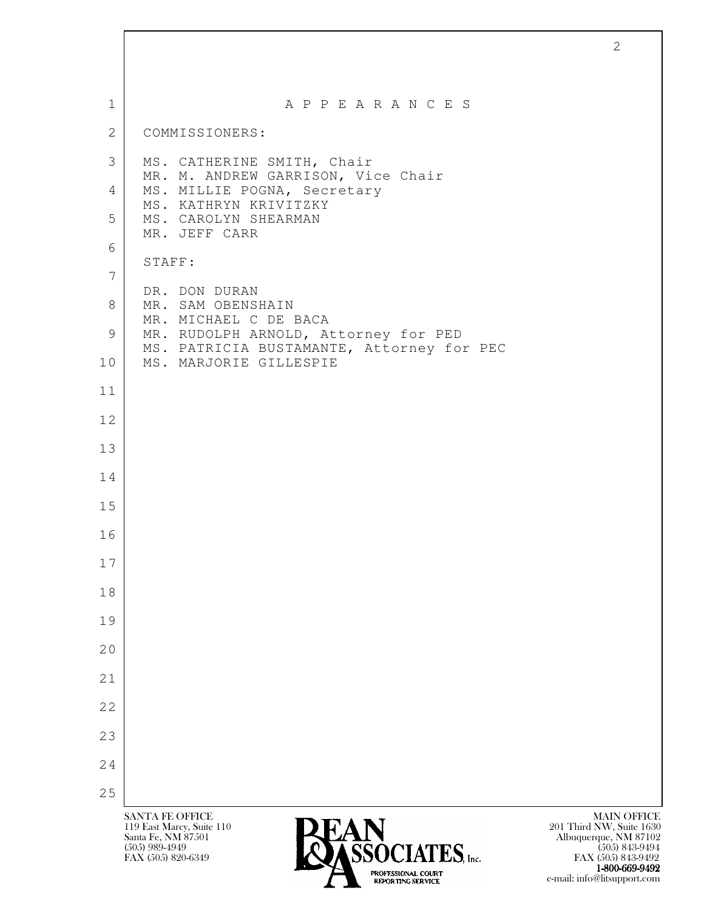| $\mathbf{1}$    | A P P E A R A N C E S                                                                                                                                                                                                                  |
|-----------------|----------------------------------------------------------------------------------------------------------------------------------------------------------------------------------------------------------------------------------------|
| $\overline{2}$  | COMMISSIONERS:                                                                                                                                                                                                                         |
| 3               | MS. CATHERINE SMITH, Chair                                                                                                                                                                                                             |
| 4               | MR. M. ANDREW GARRISON, Vice Chair<br>MS. MILLIE POGNA, Secretary<br>MS. KATHRYN KRIVITZKY                                                                                                                                             |
| 5               | MS. CAROLYN SHEARMAN<br>MR. JEFF CARR                                                                                                                                                                                                  |
| 6               | STAFF:                                                                                                                                                                                                                                 |
| $7\phantom{.0}$ | DR. DON DURAN                                                                                                                                                                                                                          |
| 8               | MR. SAM OBENSHAIN<br>MR. MICHAEL C DE BACA                                                                                                                                                                                             |
| 9               | MR. RUDOLPH ARNOLD, Attorney for PED<br>MS. PATRICIA BUSTAMANTE, Attorney for PEC                                                                                                                                                      |
| 10              | MS. MARJORIE GILLESPIE                                                                                                                                                                                                                 |
| 11              |                                                                                                                                                                                                                                        |
| 12              |                                                                                                                                                                                                                                        |
| 13              |                                                                                                                                                                                                                                        |
| 14              |                                                                                                                                                                                                                                        |
| 15              |                                                                                                                                                                                                                                        |
| 16              |                                                                                                                                                                                                                                        |
| 17              |                                                                                                                                                                                                                                        |
| 18              |                                                                                                                                                                                                                                        |
| 19              |                                                                                                                                                                                                                                        |
| 20              |                                                                                                                                                                                                                                        |
| 21              |                                                                                                                                                                                                                                        |
| 22              |                                                                                                                                                                                                                                        |
| 23              |                                                                                                                                                                                                                                        |
| 24              |                                                                                                                                                                                                                                        |
| 25              | <b>SANTA FE OFFICE</b><br><b>MAIN OFFICE</b>                                                                                                                                                                                           |
|                 | 201 Third NW, Suite 1630<br>119 East Marcy, Suite 110<br><b>LAIN</b><br>ASSOCIATES, <sub>Inc.</sub><br>Santa Fe, NM 87501<br>Albuquerque, NM 87102<br>$(505)$ 989-4949<br>$(505)$ 843-9494<br>FAX (505) 820-6349<br>FAX (505) 843-9492 |

2

1-800-669-9492 EXPORTING SERVICE e-mail: info@litsupport.com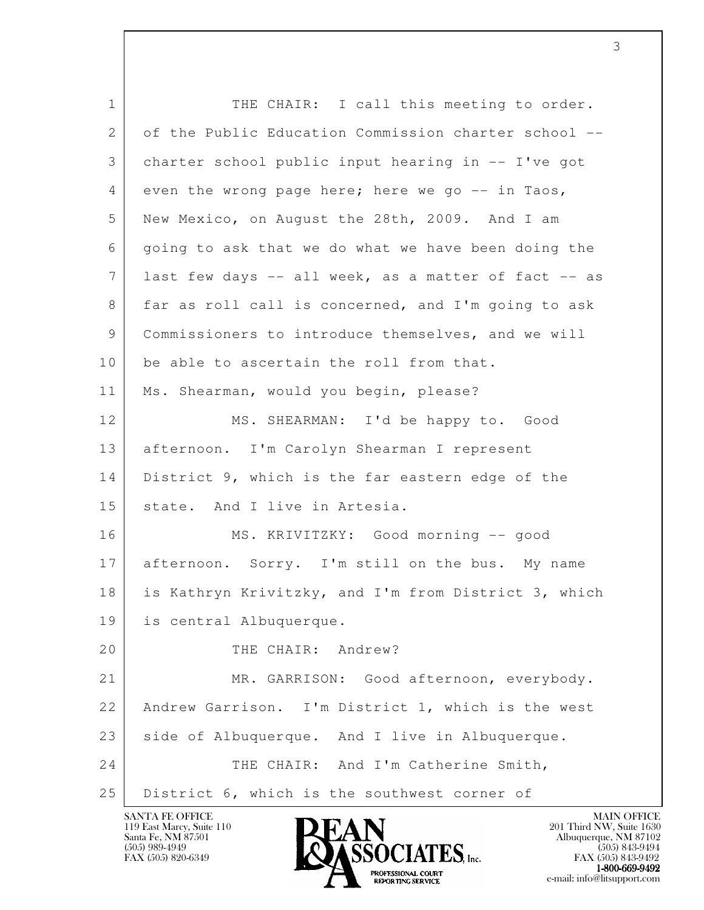| $\mathbf{1}$ | THE CHAIR: I call this meeting to order.             |
|--------------|------------------------------------------------------|
| 2            | of the Public Education Commission charter school -- |
| 3            | charter school public input hearing in -- I've got   |
| 4            | even the wrong page here; here we go -- in Taos,     |
| 5            | New Mexico, on August the 28th, 2009. And I am       |
| 6            | going to ask that we do what we have been doing the  |
| 7            | last few days -- all week, as a matter of fact -- as |
| 8            | far as roll call is concerned, and I'm going to ask  |
| 9            | Commissioners to introduce themselves, and we will   |
| 10           | be able to ascertain the roll from that.             |
| 11           | Ms. Shearman, would you begin, please?               |
| 12           | MS. SHEARMAN: I'd be happy to. Good                  |
| 13           | afternoon. I'm Carolyn Shearman I represent          |
| 14           | District 9, which is the far eastern edge of the     |
| 15           | state. And I live in Artesia.                        |
| 16           | MS. KRIVITZKY: Good morning -- good                  |
| 17           | afternoon. Sorry. I'm still on the bus. My name      |
| 18           | is Kathryn Krivitzky, and I'm from District 3, which |
| 19           | is central Albuquerque.                              |
| 20           | THE CHAIR: Andrew?                                   |
| 21           | MR. GARRISON: Good afternoon, everybody.             |
| 22           | Andrew Garrison. I'm District 1, which is the west   |
| 23           | side of Albuquerque. And I live in Albuquerque.      |
| 24           | THE CHAIR: And I'm Catherine Smith,                  |
| 25           | District 6, which is the southwest corner of         |

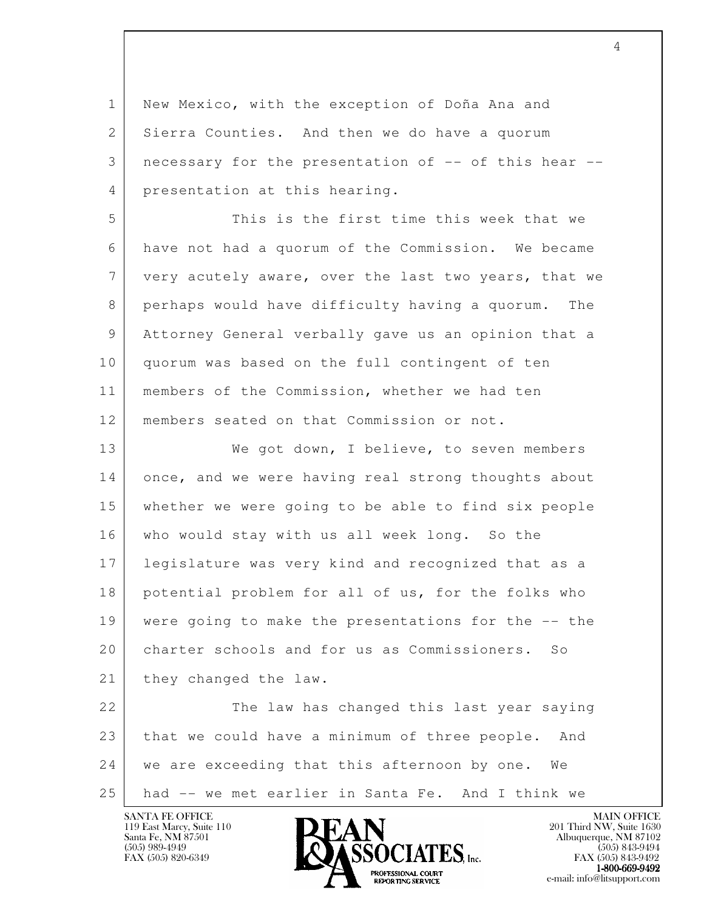1 New Mexico, with the exception of Doña Ana and 2 Sierra Counties. And then we do have a quorum 3 | necessary for the presentation of -- of this hear --4 presentation at this hearing.

 5 This is the first time this week that we 6 have not had a quorum of the Commission. We became 7 very acutely aware, over the last two years, that we 8 perhaps would have difficulty having a quorum. The 9 Attorney General verbally gave us an opinion that a 10 quorum was based on the full contingent of ten 11 | members of the Commission, whether we had ten 12 members seated on that Commission or not.

13 We got down, I believe, to seven members 14 once, and we were having real strong thoughts about 15 whether we were going to be able to find six people 16 who would stay with us all week long. So the 17 legislature was very kind and recognized that as a 18 potential problem for all of us, for the folks who 19 were going to make the presentations for the -- the 20 charter schools and for us as Commissioners. So 21 they changed the law.

l 22 The law has changed this last year saying 23 that we could have a minimum of three people. And 24 | we are exceeding that this afternoon by one. We 25 had -- we met earlier in Santa Fe. And I think we

119 East Marcy, Suite 110<br>Santa Fe, NM 87501



FAX (505) 843-9492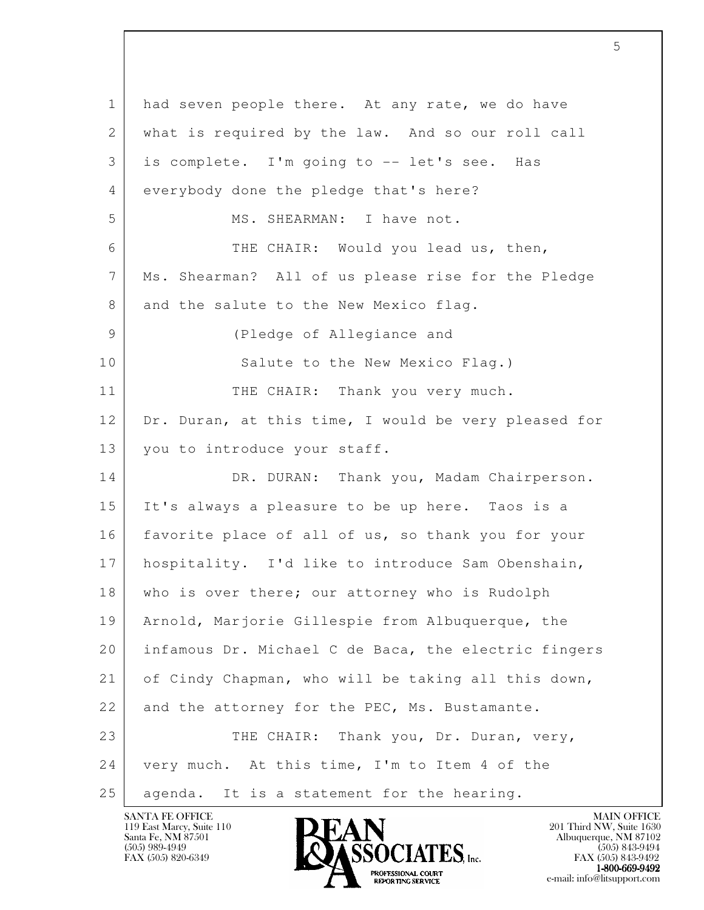l 1 had seven people there. At any rate, we do have 2 | what is required by the law. And so our roll call 3 is complete. I'm going to -- let's see. Has 4 everybody done the pledge that's here? 5 MS. SHEARMAN: I have not. 6 THE CHAIR: Would you lead us, then, 7 Ms. Shearman? All of us please rise for the Pledge 8 and the salute to the New Mexico flag. 9 (Pledge of Allegiance and 10 Salute to the New Mexico Flag.) 11 THE CHAIR: Thank you very much. 12 Dr. Duran, at this time, I would be very pleased for 13 you to introduce your staff. 14 DR. DURAN: Thank you, Madam Chairperson. 15 It's always a pleasure to be up here. Taos is a 16 favorite place of all of us, so thank you for your 17 hospitality. I'd like to introduce Sam Obenshain, 18 who is over there; our attorney who is Rudolph 19 Arnold, Marjorie Gillespie from Albuquerque, the 20 infamous Dr. Michael C de Baca, the electric fingers 21 of Cindy Chapman, who will be taking all this down, 22 and the attorney for the PEC, Ms. Bustamante. 23 THE CHAIR: Thank you, Dr. Duran, very, 24 | very much. At this time, I'm to Item 4 of the 25 | agenda. It is a statement for the hearing.

119 East Marcy, Suite 110<br>Santa Fe, NM 87501

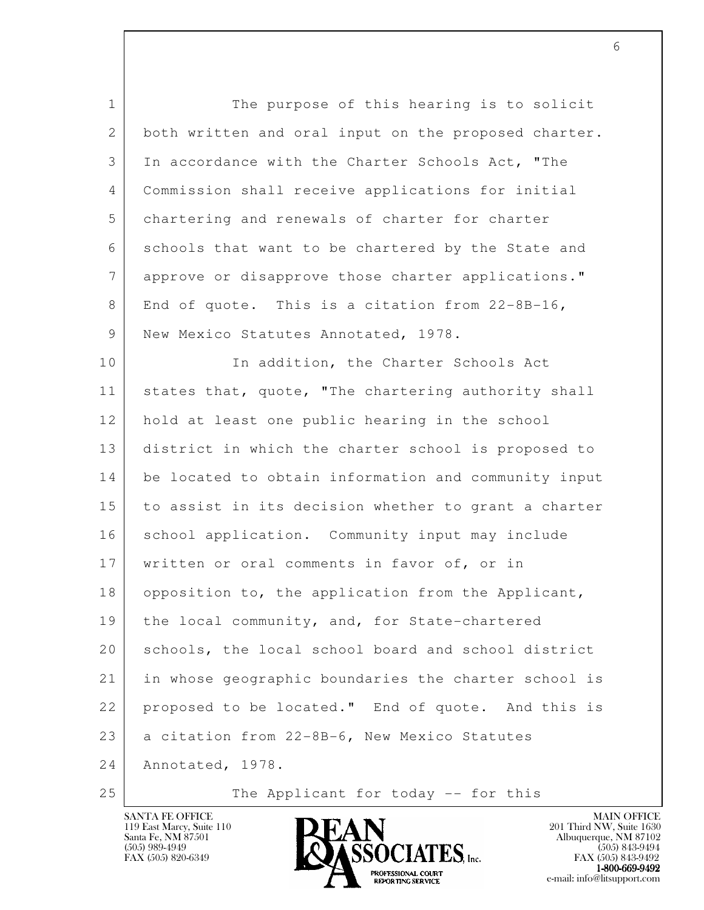l 1 The purpose of this hearing is to solicit 2 both written and oral input on the proposed charter. 3 In accordance with the Charter Schools Act, "The 4 Commission shall receive applications for initial 5 chartering and renewals of charter for charter 6 schools that want to be chartered by the State and 7 approve or disapprove those charter applications." 8 End of quote. This is a citation from 22-8B-16, 9 New Mexico Statutes Annotated, 1978. 10 In addition, the Charter Schools Act 11 | states that, quote, "The chartering authority shall 12 hold at least one public hearing in the school 13 district in which the charter school is proposed to 14 be located to obtain information and community input 15 to assist in its decision whether to grant a charter 16 | school application. Community input may include 17 written or oral comments in favor of, or in 18 opposition to, the application from the Applicant, 19 | the local community, and, for State-chartered 20 schools, the local school board and school district 21 in whose geographic boundaries the charter school is 22 proposed to be located." End of quote. And this is 23 a citation from 22-8B-6, New Mexico Statutes 24 Annotated, 1978.

119 East Marcy, Suite 110<br>Santa Fe, NM 87501



25 The Applicant for today -- for this

FAX (505) 843-9492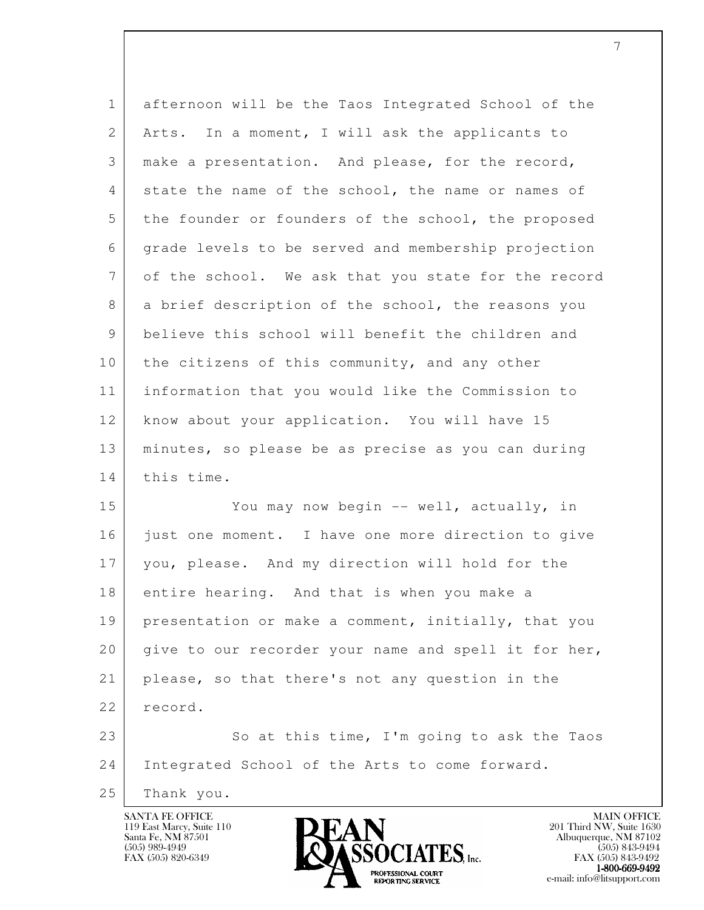| $\mathbf{1}$ | afternoon will be the Taos Integrated School of the  |
|--------------|------------------------------------------------------|
| 2            | Arts. In a moment, I will ask the applicants to      |
| 3            | make a presentation. And please, for the record,     |
| 4            | state the name of the school, the name or names of   |
| 5            | the founder or founders of the school, the proposed  |
| 6            | grade levels to be served and membership projection  |
| 7            | of the school. We ask that you state for the record  |
| 8            | a brief description of the school, the reasons you   |
| 9            | believe this school will benefit the children and    |
| 10           | the citizens of this community, and any other        |
| 11           | information that you would like the Commission to    |
| 12           | know about your application. You will have 15        |
| 13           | minutes, so please be as precise as you can during   |
| 14           | this time.                                           |
| 15           | You may now begin -- well, actually, in              |
| 16           | just one moment. I have one more direction to give   |
| 17           | you, please. And my direction will hold for the      |
| 18           | entire hearing. And that is when you make a          |
| 19           | presentation or make a comment, initially, that you  |
| 20           | give to our recorder your name and spell it for her, |
| 21           | please, so that there's not any question in the      |
| 22           | record.                                              |
| 23           | So at this time, I'm going to ask the Taos           |
| 24           | Integrated School of the Arts to come forward.       |
| 25           | Thank you.                                           |

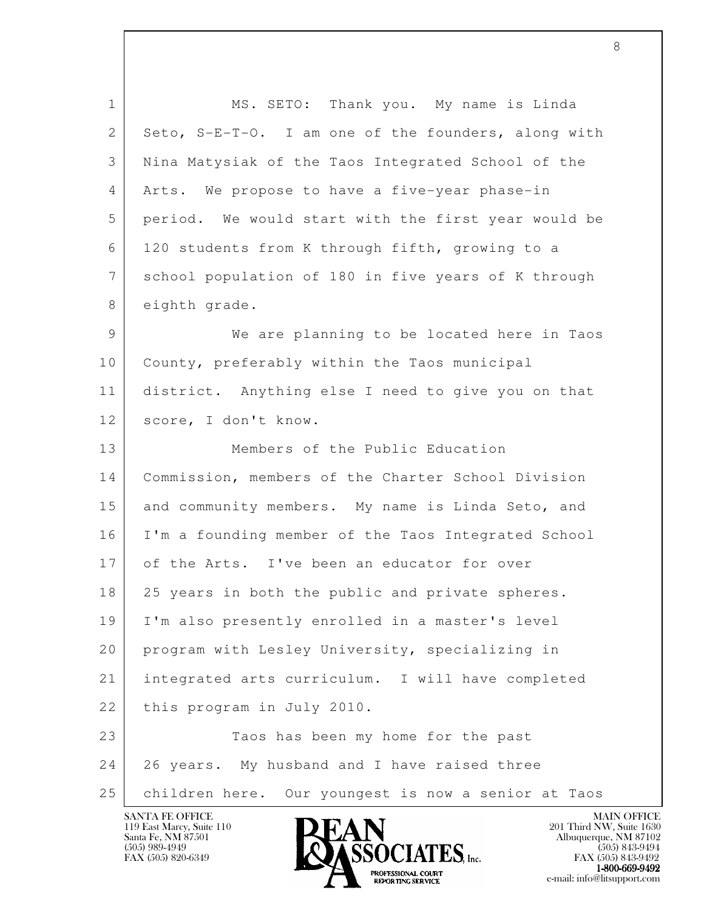| $\mathbf{1}$    | MS. SETO: Thank you. My name is Linda               |
|-----------------|-----------------------------------------------------|
| 2               | Seto, S-E-T-O. I am one of the founders, along with |
| 3               | Nina Matysiak of the Taos Integrated School of the  |
| 4               | Arts. We propose to have a five-year phase-in       |
| 5               | period. We would start with the first year would be |
| 6               | 120 students from K through fifth, growing to a     |
| $7\phantom{.0}$ | school population of 180 in five years of K through |
| 8               | eighth grade.                                       |
| 9               | We are planning to be located here in Taos          |
| 10              | County, preferably within the Taos municipal        |
| 11              | district. Anything else I need to give you on that  |
| 12              | score, I don't know.                                |
| 13              | Members of the Public Education                     |
| 14              | Commission, members of the Charter School Division  |
| 15              | and community members. My name is Linda Seto, and   |
| 16              | I'm a founding member of the Taos Integrated School |
| 17              | of the Arts. I've been an educator for over         |
| 18              | 25 years in both the public and private spheres.    |
| 19              | I'm also presently enrolled in a master's level     |
| 20              | program with Lesley University, specializing in     |
| 21              | integrated arts curriculum. I will have completed   |
| 22              | this program in July 2010.                          |
| 23              | Taos has been my home for the past                  |
| 24              | 26 years. My husband and I have raised three        |
| 25              | children here. Our youngest is now a senior at Taos |

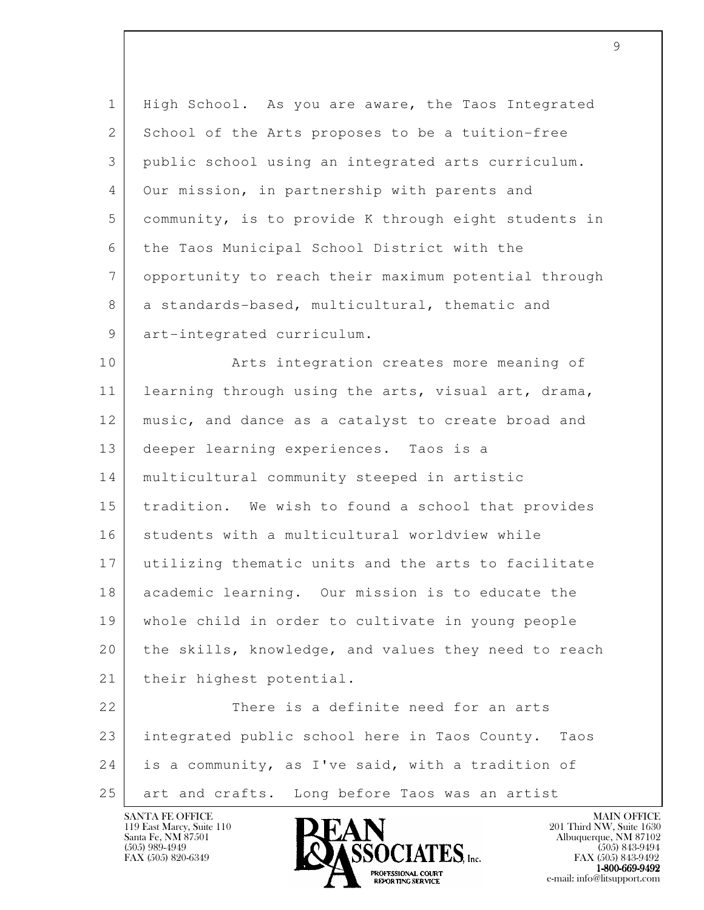1 High School. As you are aware, the Taos Integrated 2 School of the Arts proposes to be a tuition-free 3 public school using an integrated arts curriculum. 4 Our mission, in partnership with parents and 5 community, is to provide K through eight students in 6 the Taos Municipal School District with the 7 opportunity to reach their maximum potential through 8 a standards-based, multicultural, thematic and 9 art-integrated curriculum.

10 | The Arts integration creates more meaning of 11 learning through using the arts, visual art, drama, 12 | music, and dance as a catalyst to create broad and 13 deeper learning experiences. Taos is a 14 multicultural community steeped in artistic 15 tradition. We wish to found a school that provides 16 students with a multicultural worldview while 17 utilizing thematic units and the arts to facilitate 18 academic learning. Our mission is to educate the 19 whole child in order to cultivate in young people 20 the skills, knowledge, and values they need to reach 21 | their highest potential.

l 22 There is a definite need for an arts 23 integrated public school here in Taos County. Taos 24 is a community, as I've said, with a tradition of 25 art and crafts. Long before Taos was an artist

119 East Marcy, Suite 110<br>Santa Fe, NM 87501



FAX (505) 843-9492 **EXPORTING SERVICE** EXPLORER THE REPORTING SERVICE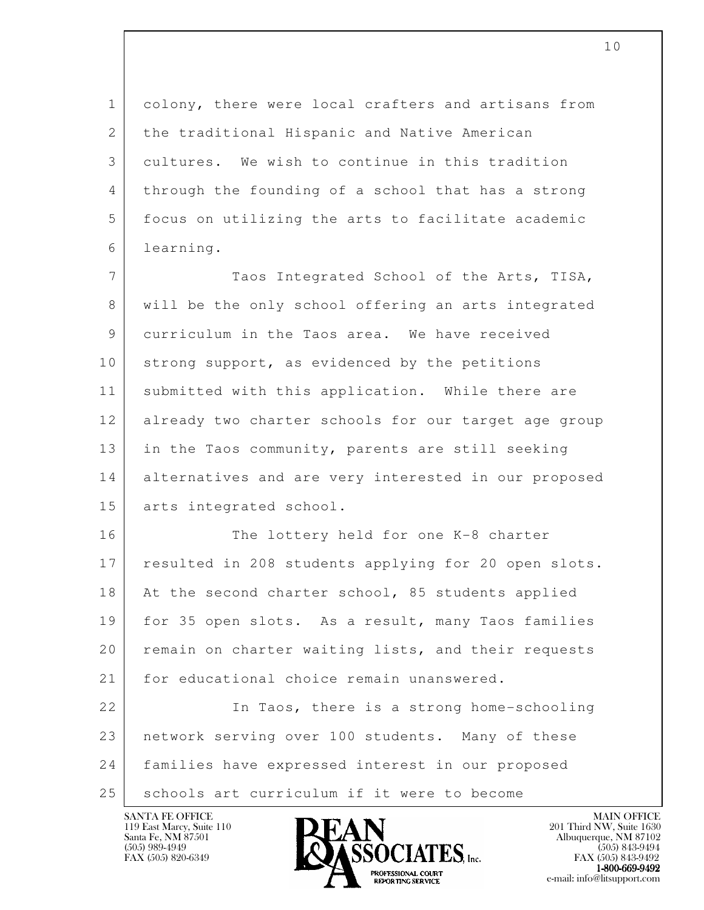1 colony, there were local crafters and artisans from 2 the traditional Hispanic and Native American 3 cultures. We wish to continue in this tradition 4 through the founding of a school that has a strong 5 focus on utilizing the arts to facilitate academic 6 learning.

7 Taos Integrated School of the Arts, TISA, 8 will be the only school offering an arts integrated 9 curriculum in the Taos area. We have received 10 strong support, as evidenced by the petitions 11 | submitted with this application. While there are 12 already two charter schools for our target age group 13 in the Taos community, parents are still seeking 14 alternatives and are very interested in our proposed 15 arts integrated school.

16 The lottery held for one K-8 charter 17 resulted in 208 students applying for 20 open slots. 18 At the second charter school, 85 students applied 19 for 35 open slots. As a result, many Taos families 20 remain on charter waiting lists, and their requests 21 for educational choice remain unanswered.

l 22 In Taos, there is a strong home-schooling 23 network serving over 100 students. Many of these 24 families have expressed interest in our proposed 25 | schools art curriculum if it were to become

119 East Marcy, Suite 110<br>Santa Fe, NM 87501



FAX (505) 843-9492 **EXPORTING SERVICE** EXPLORER THE REPORTING SERVICE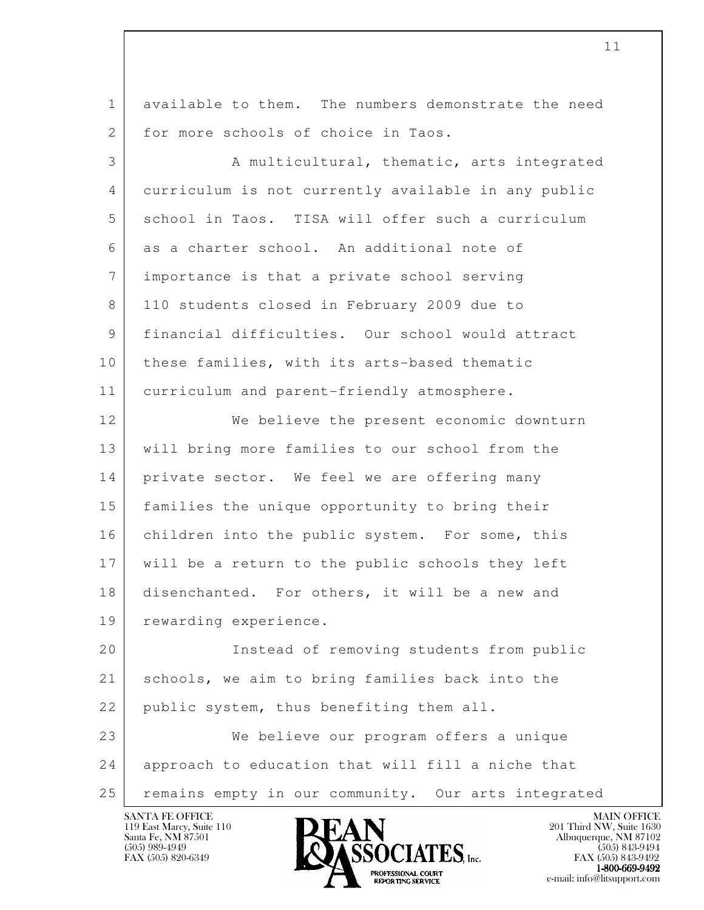1 available to them. The numbers demonstrate the need 2 for more schools of choice in Taos.

3 A multicultural, thematic, arts integrated 4 curriculum is not currently available in any public 5 school in Taos. TISA will offer such a curriculum 6 as a charter school. An additional note of 7 importance is that a private school serving 8 110 students closed in February 2009 due to 9 financial difficulties. Our school would attract 10 | these families, with its arts-based thematic 11 curriculum and parent-friendly atmosphere.

12 We believe the present economic downturn 13 will bring more families to our school from the 14 private sector. We feel we are offering many 15 families the unique opportunity to bring their 16 children into the public system. For some, this 17 will be a return to the public schools they left 18 disenchanted. For others, it will be a new and 19 | rewarding experience.

l 20 Instead of removing students from public 21 schools, we aim to bring families back into the 22 | public system, thus benefiting them all. 23 We believe our program offers a unique 24 approach to education that will fill a niche that

25 remains empty in our community. Our arts integrated

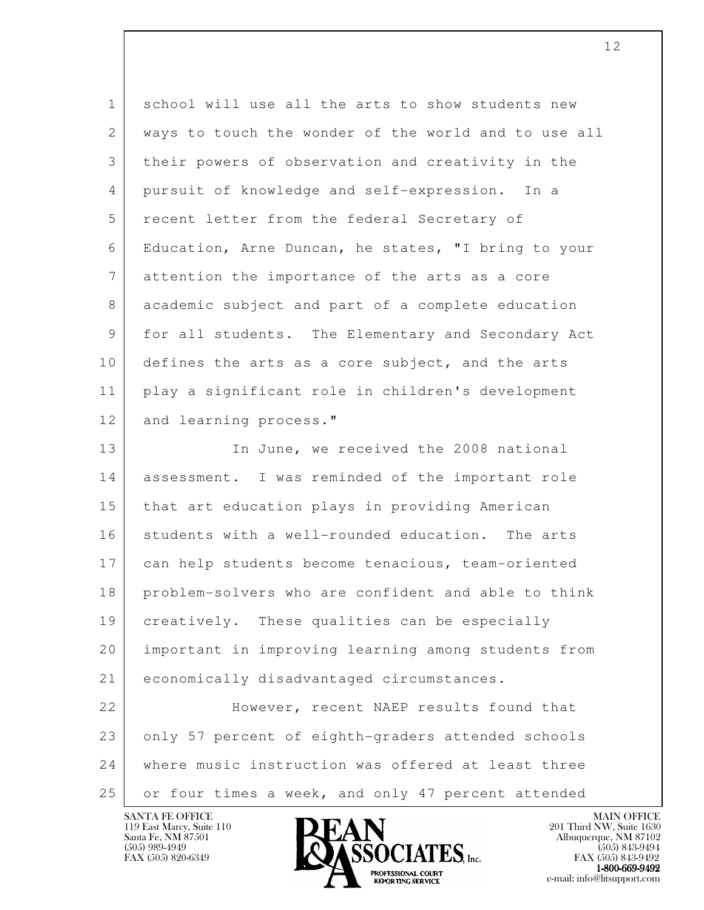| $\mathbf{1}$ | school will use all the arts to show students new    |
|--------------|------------------------------------------------------|
| 2            | ways to touch the wonder of the world and to use all |
| 3            | their powers of observation and creativity in the    |
| 4            | pursuit of knowledge and self-expression. In a       |
| 5            | recent letter from the federal Secretary of          |
| 6            | Education, Arne Duncan, he states, "I bring to your  |
| 7            | attention the importance of the arts as a core       |
| 8            | academic subject and part of a complete education    |
| 9            | for all students. The Elementary and Secondary Act   |
| 10           | defines the arts as a core subject, and the arts     |
| 11           | play a significant role in children's development    |
| 12           | and learning process."                               |
| 13           | In June, we received the 2008 national               |
| 14           | assessment. I was reminded of the important role     |
| 15           | that art education plays in providing American       |
| 16           | students with a well-rounded education. The arts     |
| 17           | can help students become tenacious, team-oriented    |
| 18           | problem-solvers who are confident and able to think  |
| 19           | creatively. These qualities can be especially        |
| 20           | important in improving learning among students from  |
| 21           | economically disadvantaged circumstances.            |
| 22           | However, recent NAEP results found that              |
| 23           | only 57 percent of eighth-graders attended schools   |
| 24           | where music instruction was offered at least three   |
| 25           | or four times a week, and only 47 percent attended   |

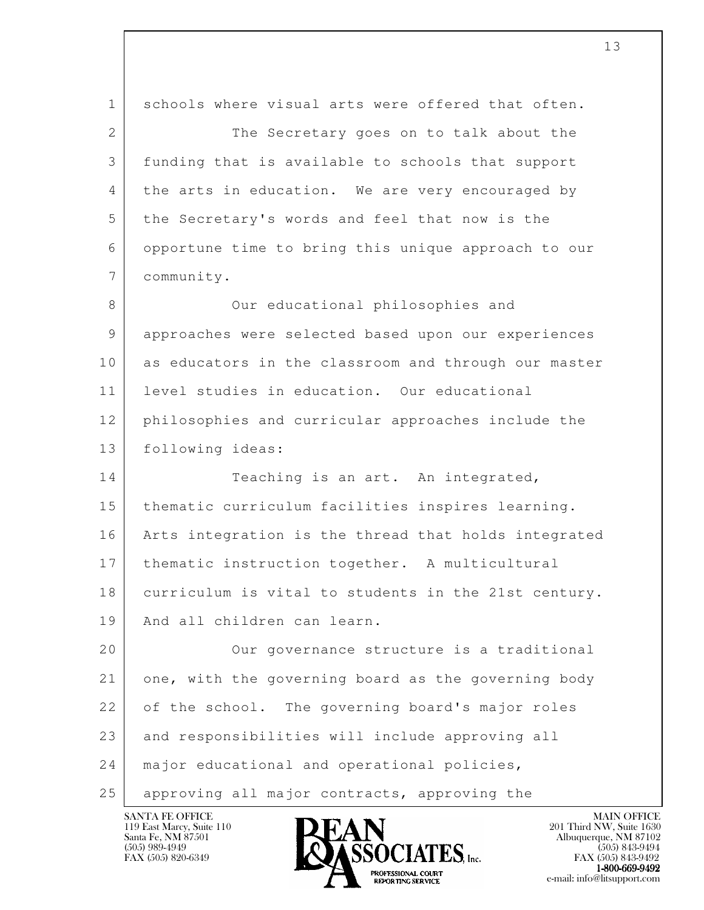l 1 schools where visual arts were offered that often. 2 The Secretary goes on to talk about the 3 funding that is available to schools that support 4 the arts in education. We are very encouraged by 5 the Secretary's words and feel that now is the 6 opportune time to bring this unique approach to our 7 community. 8 Our educational philosophies and 9 approaches were selected based upon our experiences 10 as educators in the classroom and through our master 11 level studies in education. Our educational 12 philosophies and curricular approaches include the 13 following ideas: 14 Teaching is an art. An integrated, 15 thematic curriculum facilities inspires learning. 16 Arts integration is the thread that holds integrated 17 | thematic instruction together. A multicultural 18 curriculum is vital to students in the 21st century. 19 | And all children can learn. 20 | Cur governance structure is a traditional 21 one, with the governing board as the governing body 22 of the school. The governing board's major roles 23 | and responsibilities will include approving all 24 | major educational and operational policies, 25 | approving all major contracts, approving the

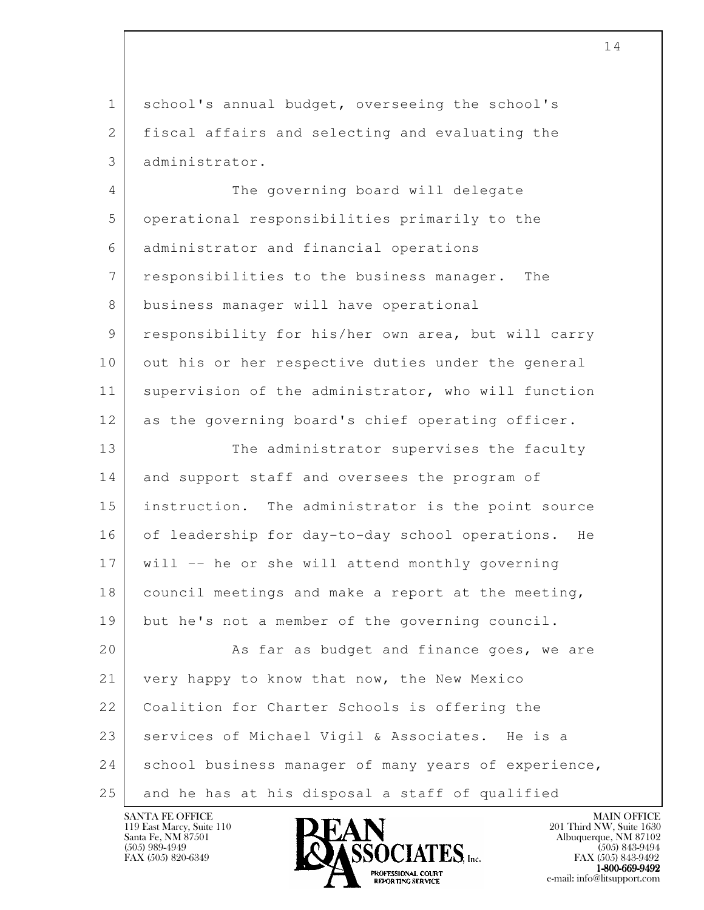1 school's annual budget, overseeing the school's 2 fiscal affairs and selecting and evaluating the 3 administrator.

4 The governing board will delegate 5 operational responsibilities primarily to the 6 administrator and financial operations 7 responsibilities to the business manager. The 8 business manager will have operational 9 responsibility for his/her own area, but will carry 10 out his or her respective duties under the general 11 supervision of the administrator, who will function 12 as the governing board's chief operating officer. 13 The administrator supervises the faculty 14 and support staff and oversees the program of 15 instruction. The administrator is the point source 16 of leadership for day-to-day school operations. He

 $18$  council meetings and make a report at the meeting,

17 will -- he or she will attend monthly governing

19 but he's not a member of the governing council.

l 20 As far as budget and finance goes, we are 21 | very happy to know that now, the New Mexico 22 | Coalition for Charter Schools is offering the 23 | services of Michael Vigil & Associates. He is a 24 school business manager of many years of experience, 25 and he has at his disposal a staff of qualified

119 East Marcy, Suite 110<br>Santa Fe, NM 87501



FAX (505) 843-9492  $1-800-669-9492$ <br>PROFESSIONAL COURT **EXPORTING SERVICE** EXPLORER THE REPORTING SERVICE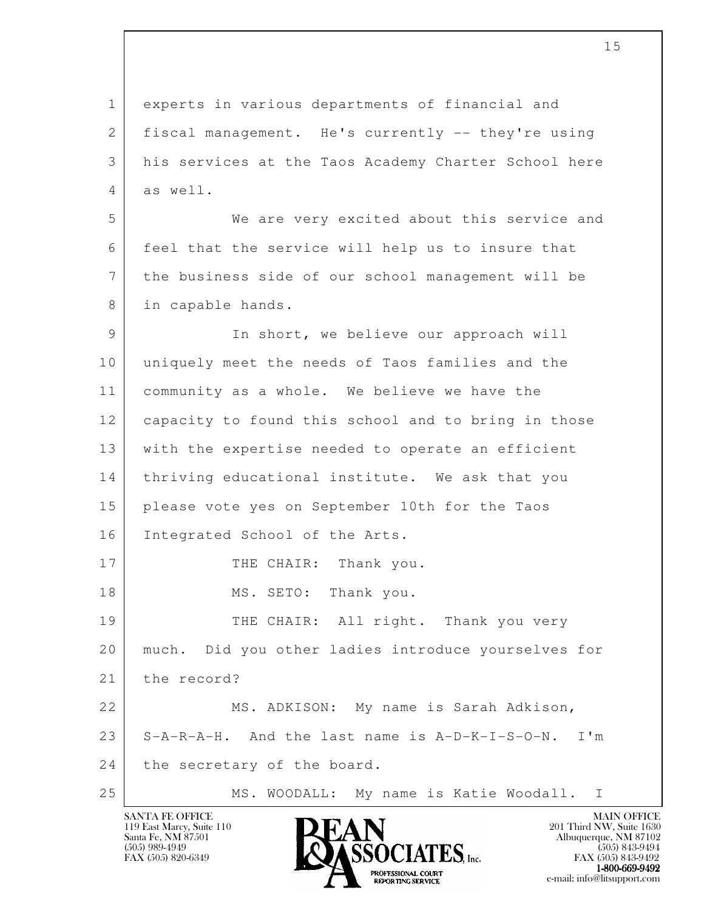l 1 experts in various departments of financial and 2 | fiscal management. He's currently -- they're using 3 his services at the Taos Academy Charter School here 4 as well. 5 We are very excited about this service and 6 feel that the service will help us to insure that 7 the business side of our school management will be 8 in capable hands. 9 In short, we believe our approach will 10 uniquely meet the needs of Taos families and the 11 community as a whole. We believe we have the 12 capacity to found this school and to bring in those 13 with the expertise needed to operate an efficient 14 | thriving educational institute. We ask that you 15 please vote yes on September 10th for the Taos 16 Integrated School of the Arts. 17 THE CHAIR: Thank you. 18 MS. SETO: Thank you. 19 THE CHAIR: All right. Thank you very 20 much. Did you other ladies introduce yourselves for 21 the record? 22 | MS. ADKISON: My name is Sarah Adkison, 23 S-A-R-A-H. And the last name is A-D-K-I-S-O-N. I'm 24 the secretary of the board. 25 | MS. WOODALL: My name is Katie Woodall. I

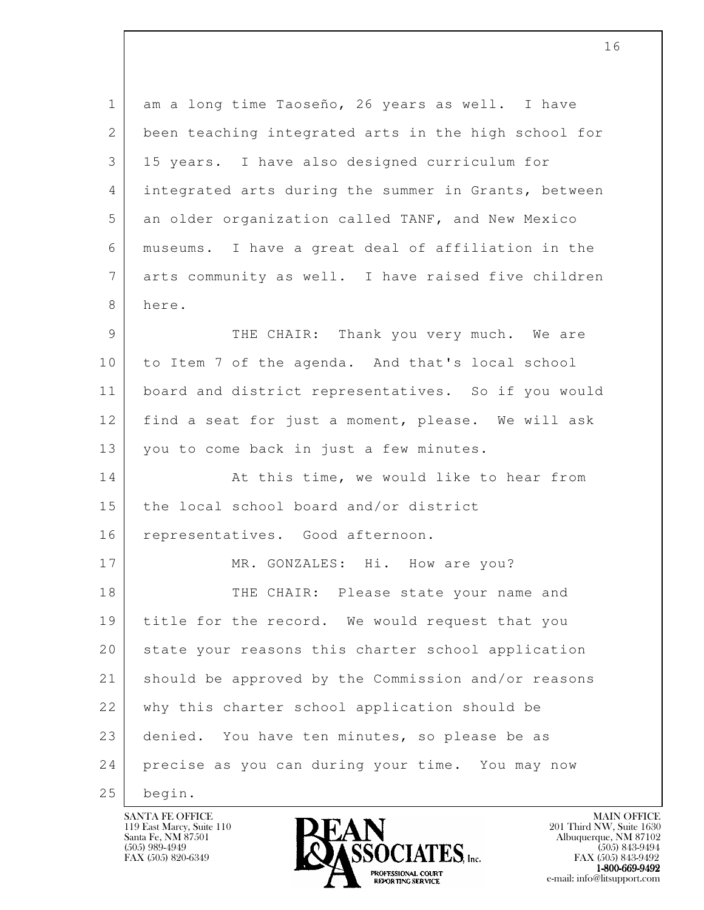l 1 am a long time Taoseño, 26 years as well. I have 2 been teaching integrated arts in the high school for 3 15 years. I have also designed curriculum for 4 integrated arts during the summer in Grants, between 5 an older organization called TANF, and New Mexico 6 museums. I have a great deal of affiliation in the 7 arts community as well. I have raised five children 8 here. 9 THE CHAIR: Thank you very much. We are 10 to Item 7 of the agenda. And that's local school 11 board and district representatives. So if you would 12 find a seat for just a moment, please. We will ask 13 you to come back in just a few minutes. 14 At this time, we would like to hear from 15 the local school board and/or district 16 representatives. Good afternoon. 17 MR. GONZALES: Hi. How are you? 18 THE CHAIR: Please state your name and 19 | title for the record. We would request that you 20 state your reasons this charter school application 21 should be approved by the Commission and/or reasons 22 | why this charter school application should be 23 | denied. You have ten minutes, so please be as 24 precise as you can during your time. You may now 25 begin.

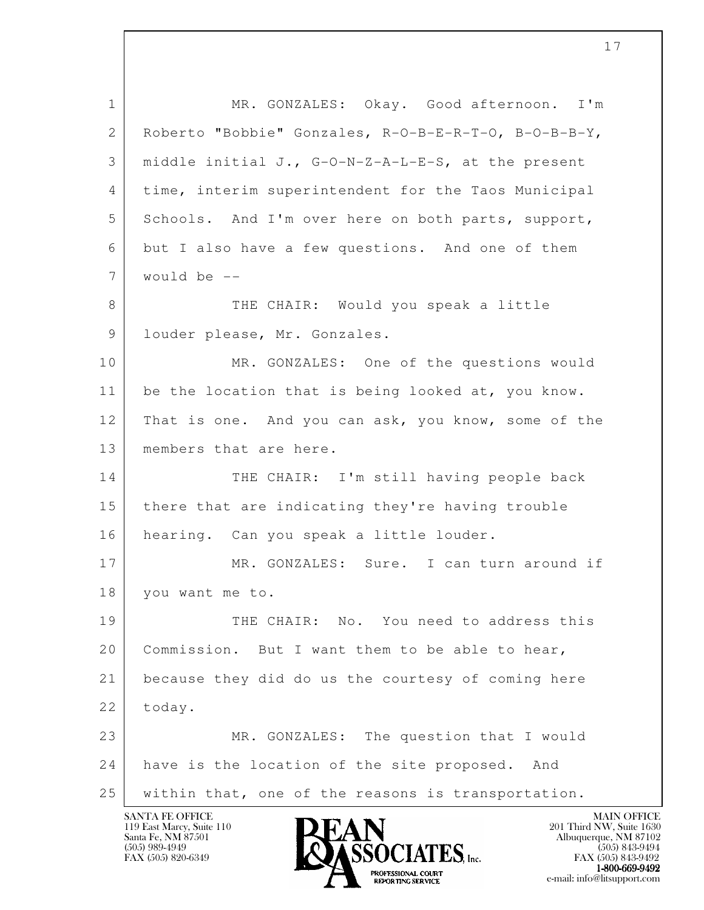l 1 MR. GONZALES: Okay. Good afternoon. I'm 2 Roberto "Bobbie" Gonzales, R-O-B-E-R-T-O, B-O-B-B-Y, 3 middle initial J., G-O-N-Z-A-L-E-S, at the present 4 time, interim superintendent for the Taos Municipal 5 Schools. And I'm over here on both parts, support, 6 but I also have a few questions. And one of them 7 would be -- 8 THE CHAIR: Would you speak a little 9 | louder please, Mr. Gonzales. 10 MR. GONZALES: One of the questions would 11 be the location that is being looked at, you know. 12 That is one. And you can ask, you know, some of the 13 | members that are here. 14 THE CHAIR: I'm still having people back 15 there that are indicating they're having trouble 16 | hearing. Can you speak a little louder. 17 MR. GONZALES: Sure. I can turn around if 18 you want me to. 19 | THE CHAIR: No. You need to address this 20 | Commission. But I want them to be able to hear, 21 because they did do us the courtesy of coming here 22 today. 23 MR. GONZALES: The question that I would 24 have is the location of the site proposed. And 25 within that, one of the reasons is transportation.

119 East Marcy, Suite 110<br>Santa Fe, NM 87501



FAX (505) 843-9492 1-800-669-9492<br>PROFESSIONAL COURT **EXPORTING SERVICE** EXPLORER THE REPORTING SERVICE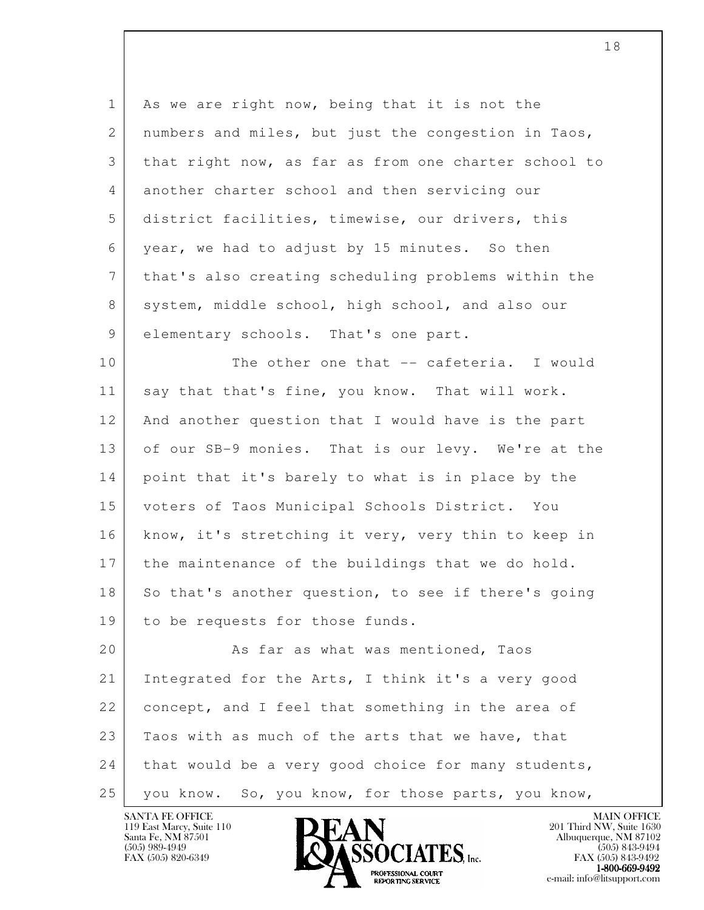l 1 As we are right now, being that it is not the 2 | numbers and miles, but just the congestion in Taos, 3 that right now, as far as from one charter school to 4 another charter school and then servicing our 5 district facilities, timewise, our drivers, this 6 year, we had to adjust by 15 minutes. So then 7 that's also creating scheduling problems within the 8 system, middle school, high school, and also our 9 elementary schools. That's one part. 10 The other one that -- cafeteria. I would 11 say that that's fine, you know. That will work. 12 And another question that I would have is the part 13 of our SB-9 monies. That is our levy. We're at the 14 point that it's barely to what is in place by the 15 voters of Taos Municipal Schools District. You 16 | know, it's stretching it very, very thin to keep in 17 the maintenance of the buildings that we do hold. 18 So that's another question, to see if there's going 19 to be requests for those funds. 20 As far as what was mentioned, Taos 21 Integrated for the Arts, I think it's a very good 22 concept, and I feel that something in the area of 23 Taos with as much of the arts that we have, that  $24$  that would be a very good choice for many students, 25 you know. So, you know, for those parts, you know,



FAX (505) 843-9492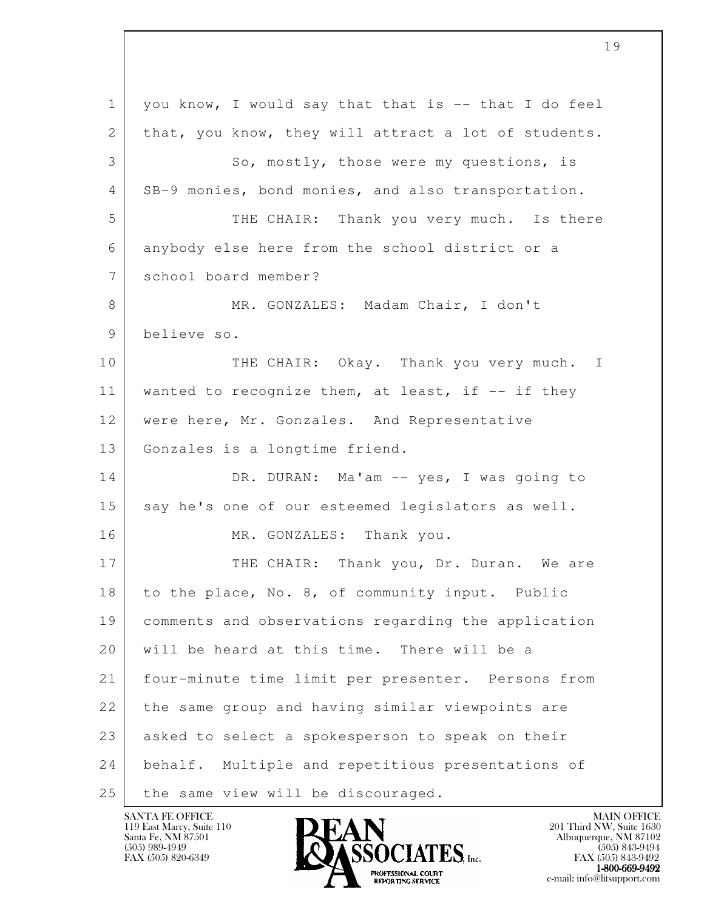l 1 you know, I would say that that is -- that I do feel 2 | that, you know, they will attract a lot of students. 3 So, mostly, those were my questions, is 4 SB-9 monies, bond monies, and also transportation. 5 THE CHAIR: Thank you very much. Is there 6 anybody else here from the school district or a 7 school board member? 8 MR. GONZALES: Madam Chair, I don't 9 believe so. 10 THE CHAIR: Okay. Thank you very much. I 11 | wanted to recognize them, at least, if -- if they 12 | were here, Mr. Gonzales. And Representative 13 Gonzales is a longtime friend. 14 DR. DURAN: Ma'am -- yes, I was going to 15 say he's one of our esteemed legislators as well. 16 MR. GONZALES: Thank you. 17 | THE CHAIR: Thank you, Dr. Duran. We are 18 to the place, No. 8, of community input. Public 19 comments and observations regarding the application 20 | will be heard at this time. There will be a 21 four-minute time limit per presenter. Persons from 22 the same group and having similar viewpoints are 23 asked to select a spokesperson to speak on their 24 behalf. Multiple and repetitious presentations of 25 | the same view will be discouraged.

119 East Marcy, Suite 110<br>Santa Fe, NM 87501

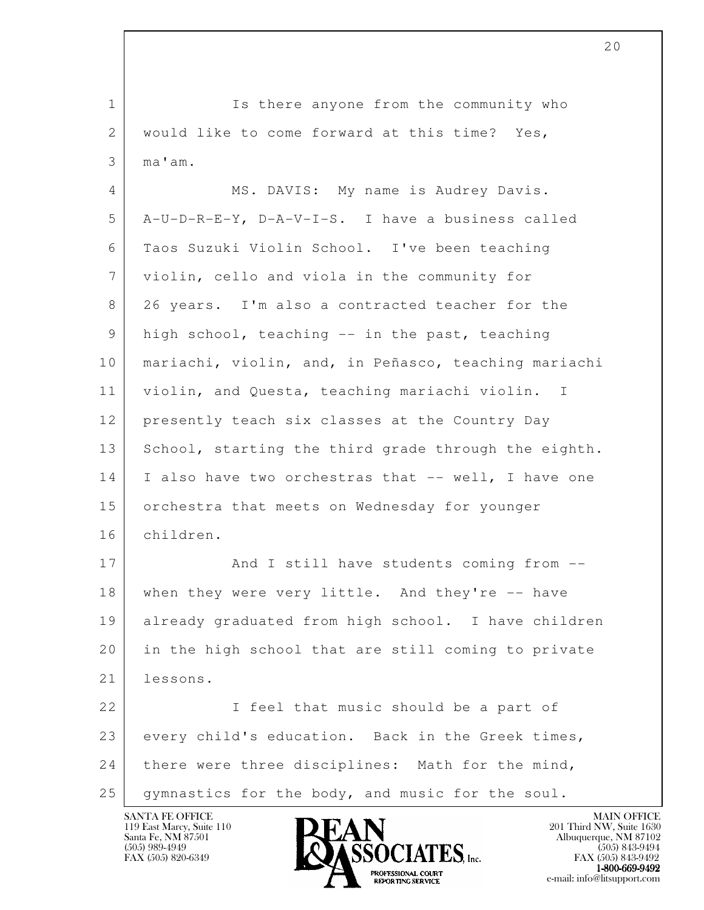l 1 Is there anyone from the community who 2 | would like to come forward at this time? Yes, 3 ma'am. 4 MS. DAVIS: My name is Audrey Davis. 5 A-U-D-R-E-Y, D-A-V-I-S. I have a business called 6 Taos Suzuki Violin School. I've been teaching 7 violin, cello and viola in the community for 8 26 years. I'm also a contracted teacher for the 9 high school, teaching -- in the past, teaching 10 | mariachi, violin, and, in Peñasco, teaching mariachi 11 violin, and Questa, teaching mariachi violin. I 12 presently teach six classes at the Country Day 13 School, starting the third grade through the eighth. 14 I also have two orchestras that -- well, I have one 15 orchestra that meets on Wednesday for younger 16 children. 17 | And I still have students coming from --18 when they were very little. And they're -- have 19 already graduated from high school. I have children 20 in the high school that are still coming to private 21 lessons. 22 | I feel that music should be a part of 23 every child's education. Back in the Greek times, 24 there were three disciplines: Math for the mind, 25 gymnastics for the body, and music for the soul.

119 East Marcy, Suite 110<br>Santa Fe, NM 87501

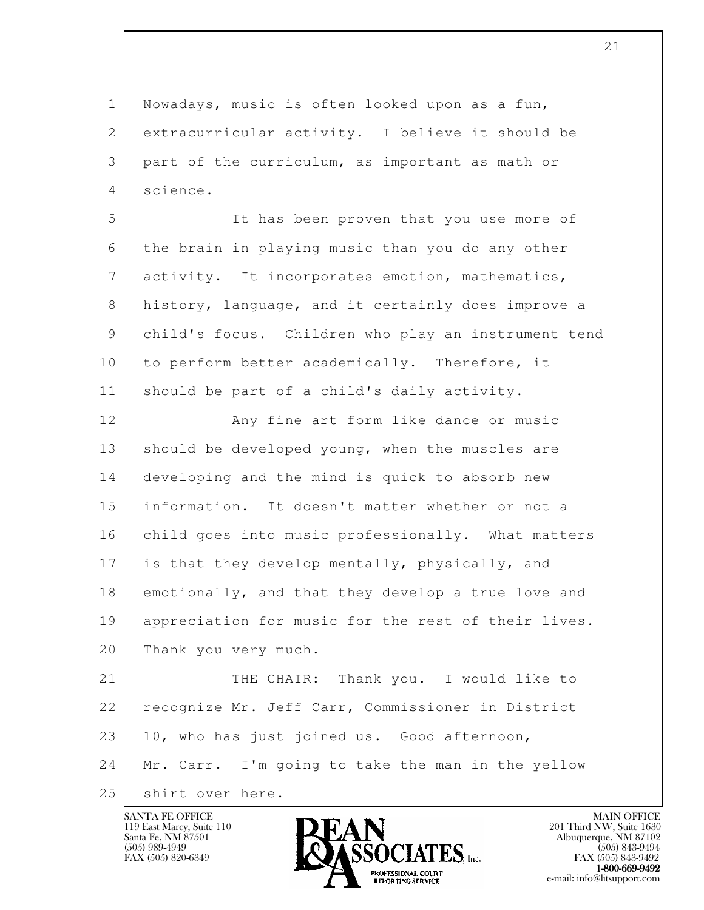1 Nowadays, music is often looked upon as a fun, 2 extracurricular activity. I believe it should be 3 part of the curriculum, as important as math or 4 science.

 5 It has been proven that you use more of 6 the brain in playing music than you do any other 7 activity. It incorporates emotion, mathematics, 8 history, language, and it certainly does improve a 9 child's focus. Children who play an instrument tend 10 to perform better academically. Therefore, it 11 | should be part of a child's daily activity.

12 | Any fine art form like dance or music 13 should be developed young, when the muscles are 14 developing and the mind is quick to absorb new 15 information. It doesn't matter whether or not a 16 child goes into music professionally. What matters 17 is that they develop mentally, physically, and 18 emotionally, and that they develop a true love and 19 appreciation for music for the rest of their lives. 20 Thank you very much.

l 21 THE CHAIR: Thank you. I would like to 22 | recognize Mr. Jeff Carr, Commissioner in District 23 10, who has just joined us. Good afternoon, 24 Mr. Carr. I'm going to take the man in the yellow 25 shirt over here.





FAX (505) 843-9492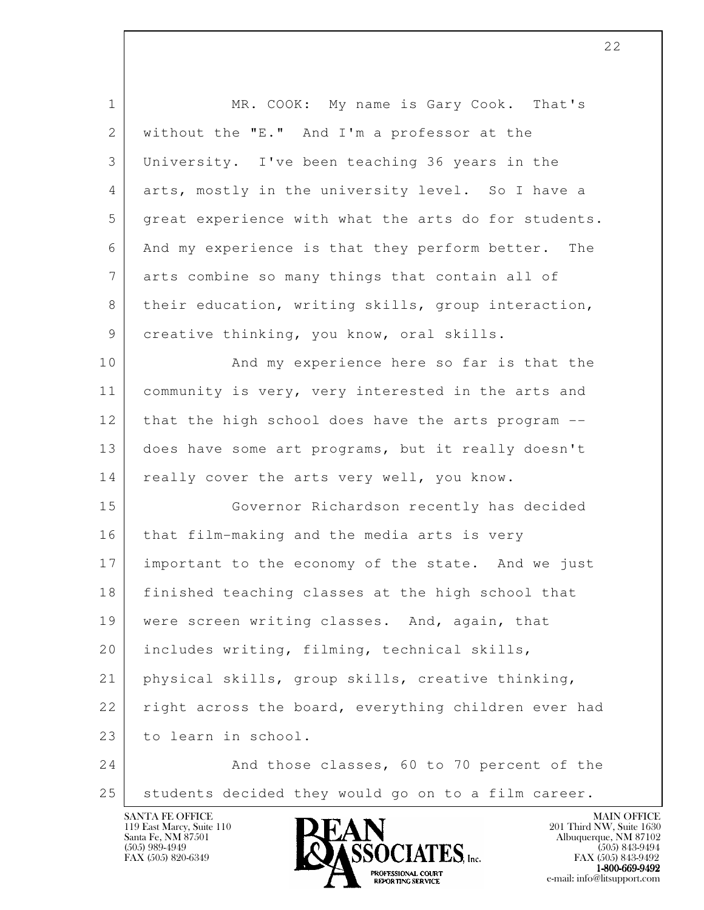| $\mathbf 1$     | MR. COOK: My name is Gary Cook. That's               |
|-----------------|------------------------------------------------------|
| $\mathbf{2}$    | without the "E." And I'm a professor at the          |
| 3               | University. I've been teaching 36 years in the       |
| 4               | arts, mostly in the university level. So I have a    |
| 5               | great experience with what the arts do for students. |
| 6               | And my experience is that they perform better. The   |
| $7\phantom{.0}$ | arts combine so many things that contain all of      |
| 8               | their education, writing skills, group interaction,  |
| 9               | creative thinking, you know, oral skills.            |
| 10              | And my experience here so far is that the            |
| 11              | community is very, very interested in the arts and   |
| 12              | that the high school does have the arts program --   |
| 13              | does have some art programs, but it really doesn't   |
| 14              | really cover the arts very well, you know.           |
| 15              | Governor Richardson recently has decided             |
| 16              | that film-making and the media arts is very          |
| 17              | important to the economy of the state. And we just   |
| 18              | finished teaching classes at the high school that    |
| 19              | were screen writing classes. And, again, that        |
| 20              | includes writing, filming, technical skills,         |
| 21              | physical skills, group skills, creative thinking,    |
| 22              | right across the board, everything children ever had |
| 23              | to learn in school.                                  |
| 24              | And those classes, 60 to 70 percent of the           |
| 25              | students decided they would go on to a film career.  |

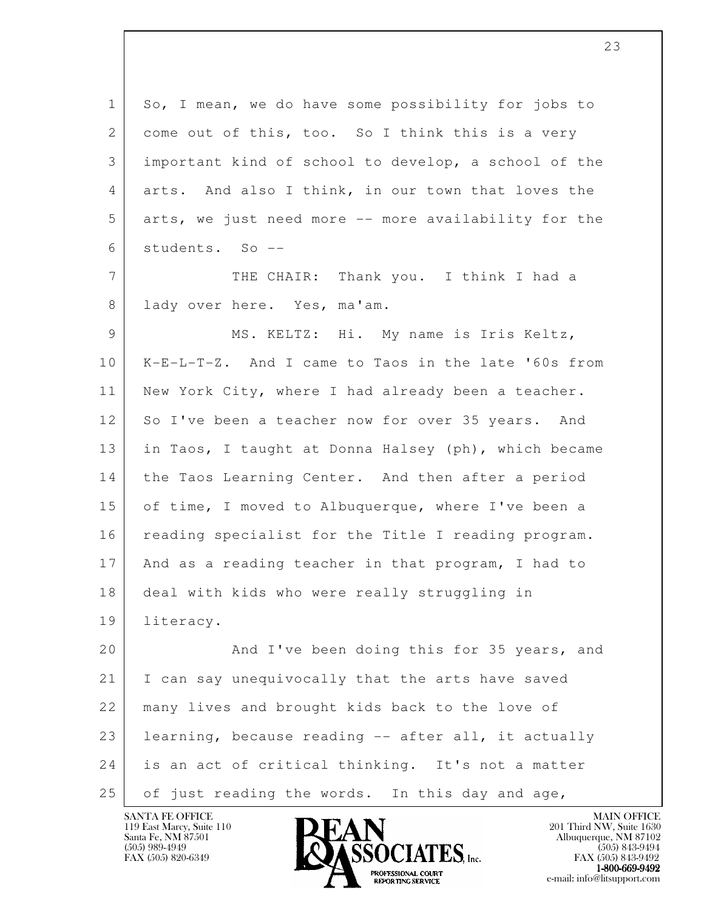| $\mathbf 1$ | So, I mean, we do have some possibility for jobs to  |
|-------------|------------------------------------------------------|
| 2           | come out of this, too. So I think this is a very     |
| 3           | important kind of school to develop, a school of the |
| 4           | arts. And also I think, in our town that loves the   |
| 5           | arts, we just need more -- more availability for the |
| 6           | students. So --                                      |
| 7           | THE CHAIR: Thank you. I think I had a                |
| 8           | lady over here. Yes, ma'am.                          |
| 9           | MS. KELTZ: Hi. My name is Iris Keltz,                |
| 10          | K-E-L-T-Z. And I came to Taos in the late '60s from  |
| 11          | New York City, where I had already been a teacher.   |
| 12          | So I've been a teacher now for over 35 years. And    |
| 13          | in Taos, I taught at Donna Halsey (ph), which became |
| 14          | the Taos Learning Center. And then after a period    |
| 15          | of time, I moved to Albuquerque, where I've been a   |
| 16          | reading specialist for the Title I reading program.  |
| 17          | And as a reading teacher in that program, I had to   |
| 18          | deal with kids who were really struggling in         |
| 19          | literacy.                                            |
| 20          | And I've been doing this for 35 years, and           |
| 21          | I can say unequivocally that the arts have saved     |
| 22          | many lives and brought kids back to the love of      |
| 23          | learning, because reading -- after all, it actually  |
| 24          | is an act of critical thinking. It's not a matter    |
| 25          | of just reading the words. In this day and age,      |

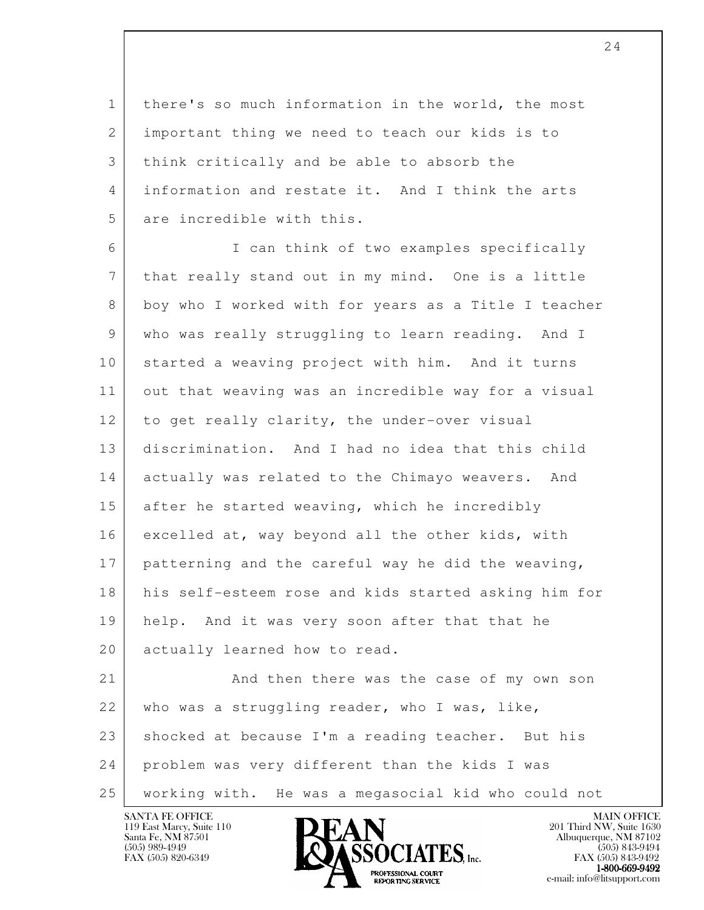1 there's so much information in the world, the most 2 important thing we need to teach our kids is to 3 think critically and be able to absorb the 4 information and restate it. And I think the arts 5 are incredible with this.

 6 I can think of two examples specifically 7 that really stand out in my mind. One is a little 8 boy who I worked with for years as a Title I teacher 9 who was really struggling to learn reading. And I 10 started a weaving project with him. And it turns 11 out that weaving was an incredible way for a visual 12 to get really clarity, the under-over visual 13 discrimination. And I had no idea that this child 14 actually was related to the Chimayo weavers. And 15 after he started weaving, which he incredibly 16 excelled at, way beyond all the other kids, with 17 patterning and the careful way he did the weaving, 18 his self-esteem rose and kids started asking him for 19 help. And it was very soon after that that he 20 actually learned how to read. 21 And then there was the case of my own son

l 22 who was a struggling reader, who I was, like, 23 shocked at because I'm a reading teacher. But his 24 problem was very different than the kids I was 25 working with. He was a megasocial kid who could not

119 East Marcy, Suite 110<br>Santa Fe, NM 87501



FAX (505) 843-9492 **EXPORTING SERVICE** EXPLORER THE REPORTING SERVICE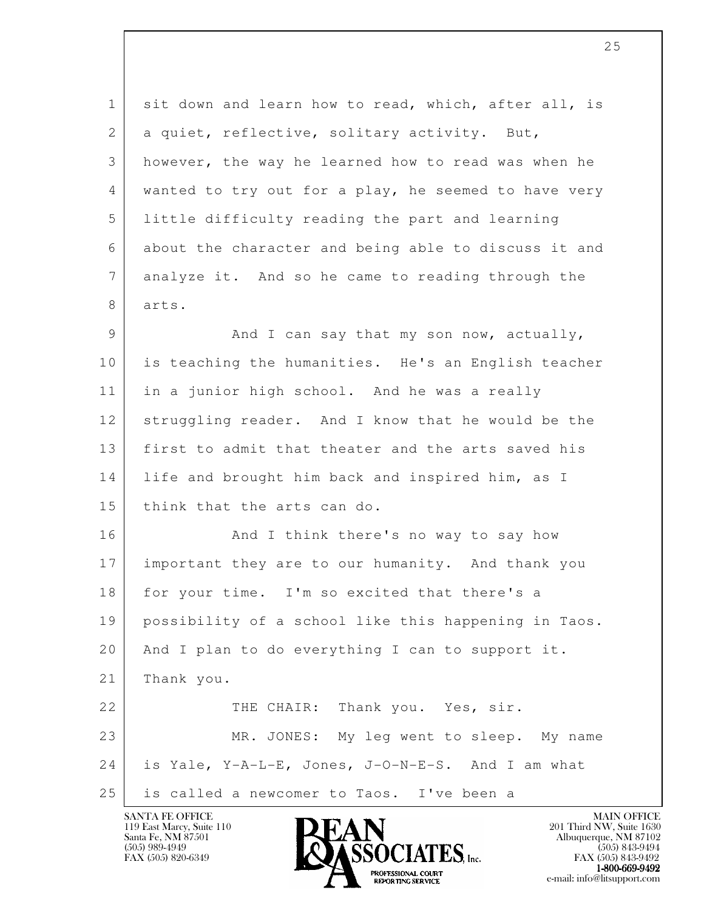1 sit down and learn how to read, which, after all, is 2 a quiet, reflective, solitary activity. But, 3 however, the way he learned how to read was when he 4 wanted to try out for a play, he seemed to have very 5 little difficulty reading the part and learning 6 about the character and being able to discuss it and 7 analyze it. And so he came to reading through the 8 arts. 9 And I can say that my son now, actually, 10 is teaching the humanities. He's an English teacher 11 in a junior high school. And he was a really 12 struggling reader. And I know that he would be the 13 first to admit that theater and the arts saved his 14 | life and brought him back and inspired him, as I 15 think that the arts can do. 16 And I think there's no way to say how 17 important they are to our humanity. And thank you 18 for your time. I'm so excited that there's a 19 possibility of a school like this happening in Taos. 20 And I plan to do everything I can to support it. 21 Thank you.

l 22 THE CHAIR: Thank you. Yes, sir. 23 MR. JONES: My leg went to sleep. My name  $24$  is Yale, Y-A-L-E, Jones, J-O-N-E-S. And I am what 25 is called a newcomer to Taos. I've been a

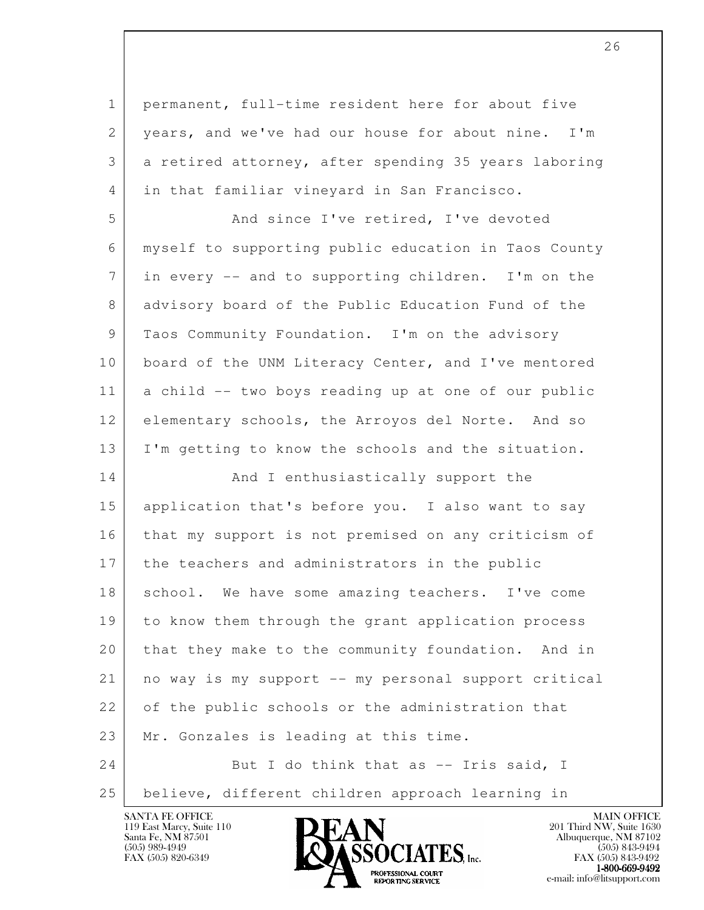l 1 permanent, full-time resident here for about five 2 | years, and we've had our house for about nine. I'm 3 a retired attorney, after spending 35 years laboring 4 | in that familiar vineyard in San Francisco. 5 And since I've retired, I've devoted 6 myself to supporting public education in Taos County 7 in every -- and to supporting children. I'm on the 8 advisory board of the Public Education Fund of the 9 Taos Community Foundation. I'm on the advisory 10 | board of the UNM Literacy Center, and I've mentored 11 a child -- two boys reading up at one of our public 12 elementary schools, the Arroyos del Norte. And so 13 I'm getting to know the schools and the situation. 14 And I enthusiastically support the 15 application that's before you. I also want to say 16 that my support is not premised on any criticism of 17 the teachers and administrators in the public 18 school. We have some amazing teachers. I've come 19 to know them through the grant application process 20 that they make to the community foundation. And in 21 no way is my support -- my personal support critical 22 of the public schools or the administration that 23 Mr. Gonzales is leading at this time. 24 But I do think that as -- Iris said, I 25 | believe, different children approach learning in

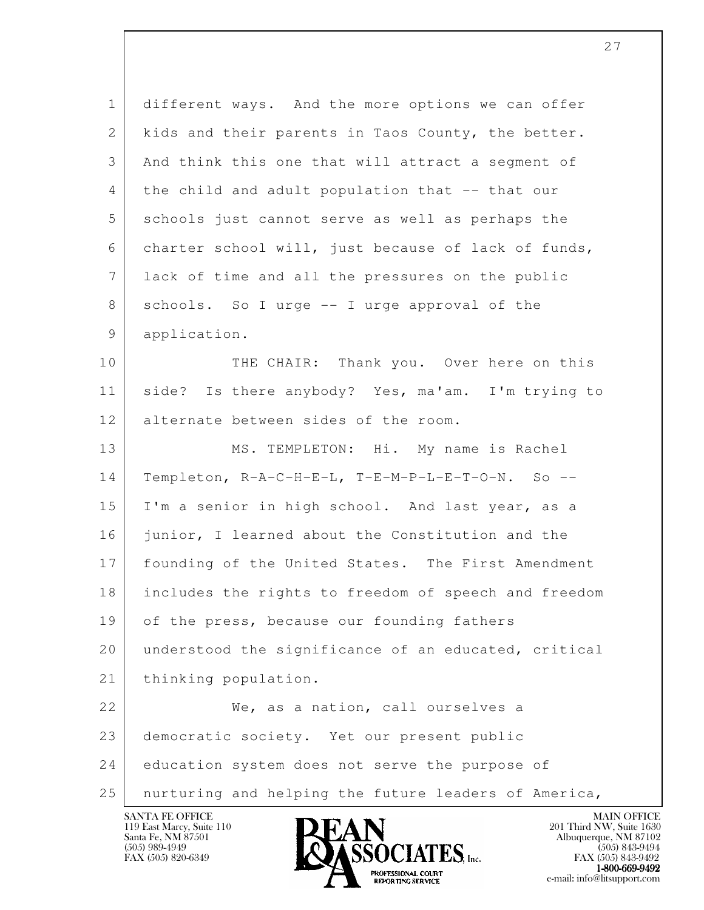l 1 different ways. And the more options we can offer 2 kids and their parents in Taos County, the better. 3 And think this one that will attract a segment of 4 the child and adult population that -- that our 5 schools just cannot serve as well as perhaps the 6 charter school will, just because of lack of funds, 7 lack of time and all the pressures on the public 8 schools. So I urge -- I urge approval of the 9 application. 10 THE CHAIR: Thank you. Over here on this 11 | side? Is there anybody? Yes, ma'am. I'm trying to 12 alternate between sides of the room. 13 MS. TEMPLETON: Hi. My name is Rachel 14 Templeton, R-A-C-H-E-L, T-E-M-P-L-E-T-O-N. So -- 15 I'm a senior in high school. And last year, as a 16 junior, I learned about the Constitution and the 17 founding of the United States. The First Amendment 18 includes the rights to freedom of speech and freedom 19 of the press, because our founding fathers 20 understood the significance of an educated, critical 21 thinking population. 22 We, as a nation, call ourselves a 23 democratic society. Yet our present public 24 education system does not serve the purpose of 25 nurturing and helping the future leaders of America,

119 East Marcy, Suite 110<br>Santa Fe, NM 87501

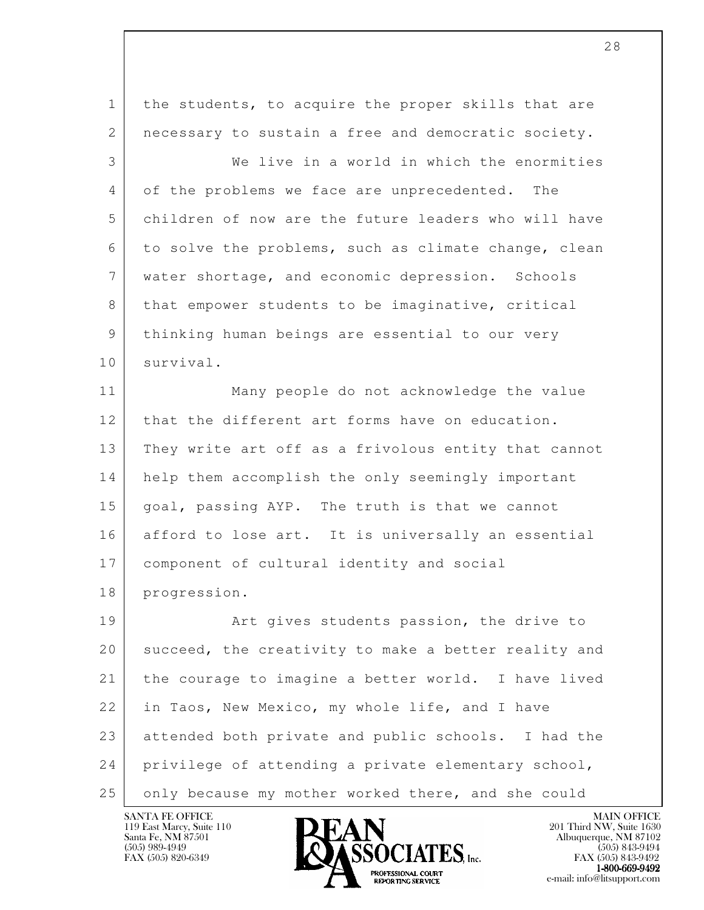l 1 the students, to acquire the proper skills that are 2 | necessary to sustain a free and democratic society. 3 We live in a world in which the enormities 4 of the problems we face are unprecedented. The 5 children of now are the future leaders who will have 6 to solve the problems, such as climate change, clean 7 water shortage, and economic depression. Schools 8 | that empower students to be imaginative, critical 9 thinking human beings are essential to our very 10 survival. 11 Many people do not acknowledge the value 12 that the different art forms have on education. 13 They write art off as a frivolous entity that cannot 14 help them accomplish the only seemingly important 15 | goal, passing AYP. The truth is that we cannot 16 afford to lose art. It is universally an essential 17 component of cultural identity and social 18 progression. 19 Art gives students passion, the drive to 20 succeed, the creativity to make a better reality and 21 the courage to imagine a better world. I have lived 22 in Taos, New Mexico, my whole life, and I have 23 attended both private and public schools. I had the 24 privilege of attending a private elementary school, 25 only because my mother worked there, and she could

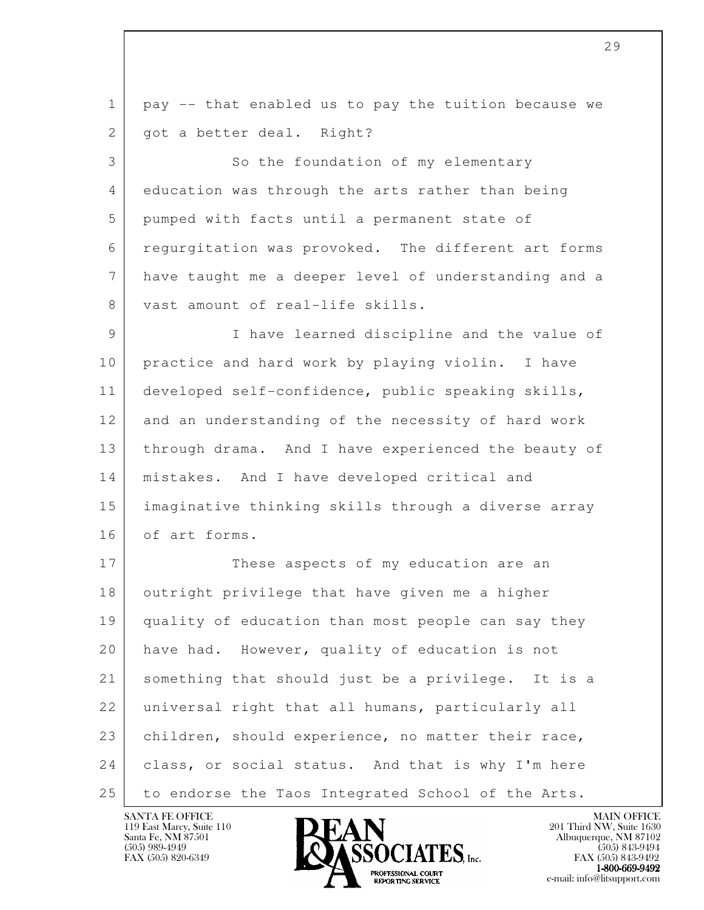l 1 pay -- that enabled us to pay the tuition because we 2 | got a better deal. Right? 3 So the foundation of my elementary 4 education was through the arts rather than being 5 pumped with facts until a permanent state of 6 regurgitation was provoked. The different art forms 7 have taught me a deeper level of understanding and a 8 vast amount of real-life skills. 9 I have learned discipline and the value of 10 practice and hard work by playing violin. I have 11 developed self-confidence, public speaking skills, 12 and an understanding of the necessity of hard work 13 | through drama. And I have experienced the beauty of 14 mistakes. And I have developed critical and 15 imaginative thinking skills through a diverse array 16 of art forms. 17 These aspects of my education are an 18 outright privilege that have given me a higher 19 quality of education than most people can say they 20 have had. However, quality of education is not 21 something that should just be a privilege. It is a 22 universal right that all humans, particularly all 23 children, should experience, no matter their race, 24 class, or social status. And that is why I'm here 25 to endorse the Taos Integrated School of the Arts.

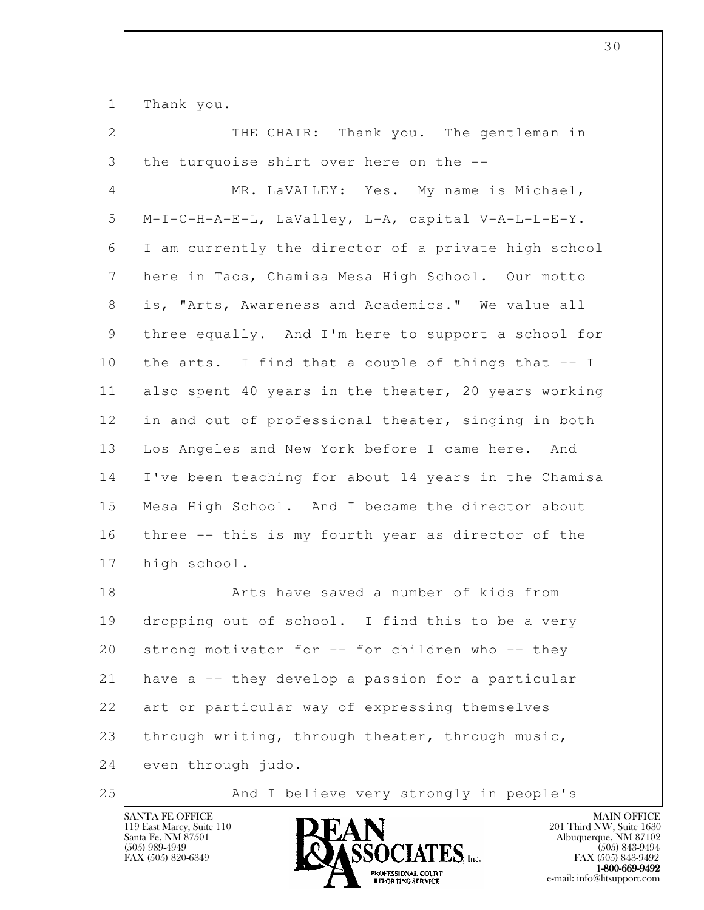1 Thank you.

| $\mathbf{2}$ | THE CHAIR: Thank you. The gentleman in               |
|--------------|------------------------------------------------------|
| 3            | the turquoise shirt over here on the --              |
| 4            | MR. LaVALLEY: Yes. My name is Michael,               |
| 5            | M-I-C-H-A-E-L, LaValley, L-A, capital V-A-L-L-E-Y.   |
| 6            | I am currently the director of a private high school |
| 7            | here in Taos, Chamisa Mesa High School. Our motto    |
| 8            | is, "Arts, Awareness and Academics." We value all    |
| 9            | three equally. And I'm here to support a school for  |
| 10           | the arts. I find that a couple of things that -- I   |
| 11           | also spent 40 years in the theater, 20 years working |
| 12           | in and out of professional theater, singing in both  |
| 13           | Los Angeles and New York before I came here. And     |
| 14           | I've been teaching for about 14 years in the Chamisa |
| 15           | Mesa High School. And I became the director about    |
| 16           | three -- this is my fourth year as director of the   |
| 17           | high school.                                         |
| 18           | Arts have saved a number of kids from                |
| 19           | dropping out of school. I find this to be a very     |
| 20           | strong motivator for -- for children who -- they     |
| 21           | have a -- they develop a passion for a particular    |
| 22           | art or particular way of expressing themselves       |
| 23           | through writing, through theater, through music,     |
| 24           | even through judo.                                   |

25 And I believe very strongly in people's



e-mail: info@litsupport.com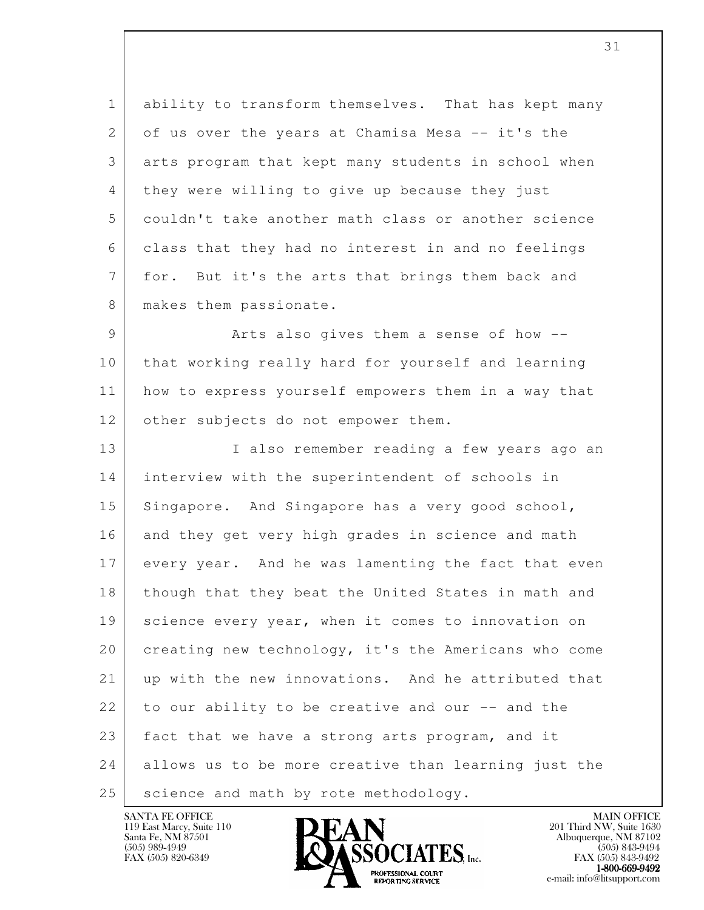1 ability to transform themselves. That has kept many 2 of us over the years at Chamisa Mesa -- it's the 3 arts program that kept many students in school when 4 they were willing to give up because they just 5 couldn't take another math class or another science 6 class that they had no interest in and no feelings 7 for. But it's the arts that brings them back and 8 | makes them passionate.

9 Arts also gives them a sense of how -- 10 that working really hard for yourself and learning 11 how to express yourself empowers them in a way that 12 other subjects do not empower them.

l 13 I also remember reading a few years ago an 14 interview with the superintendent of schools in 15 Singapore. And Singapore has a very good school, 16 and they get very high grades in science and math 17 every year. And he was lamenting the fact that even 18 though that they beat the United States in math and 19 science every year, when it comes to innovation on 20 creating new technology, it's the Americans who come 21 up with the new innovations. And he attributed that 22 to our ability to be creative and our -- and the 23 fact that we have a strong arts program, and it 24 allows us to be more creative than learning just the 25 | science and math by rote methodology.

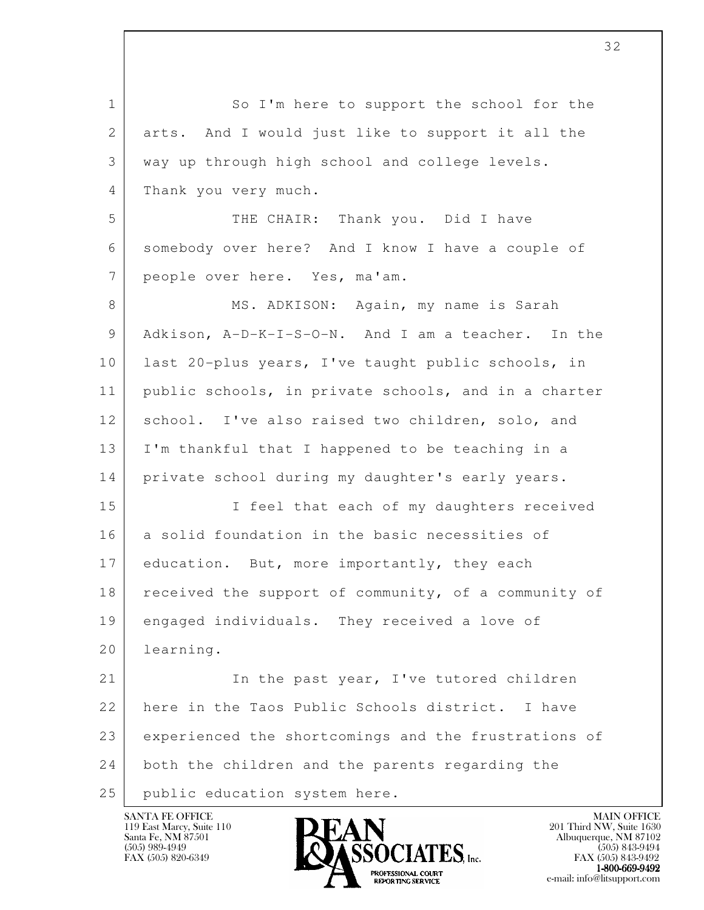l 1 So I'm here to support the school for the 2 arts. And I would just like to support it all the 3 way up through high school and college levels. 4 Thank you very much. 5 THE CHAIR: Thank you. Did I have 6 somebody over here? And I know I have a couple of 7 people over here. Yes, ma'am. 8 MS. ADKISON: Again, my name is Sarah 9 Adkison, A-D-K-I-S-O-N. And I am a teacher. In the 10 last 20-plus years, I've taught public schools, in 11 public schools, in private schools, and in a charter 12 school. I've also raised two children, solo, and 13 I'm thankful that I happened to be teaching in a 14 private school during my daughter's early years. 15 I feel that each of my daughters received 16 a solid foundation in the basic necessities of 17 education. But, more importantly, they each 18 received the support of community, of a community of 19 engaged individuals. They received a love of 20 learning. 21 In the past year, I've tutored children 22 here in the Taos Public Schools district. I have 23 experienced the shortcomings and the frustrations of 24 both the children and the parents regarding the 25 | public education system here.

119 East Marcy, Suite 110<br>Santa Fe, NM 87501



FAX (505) 843-9492 **EXPORTING SERVICE** EXPLORER THE REPORTING SERVICE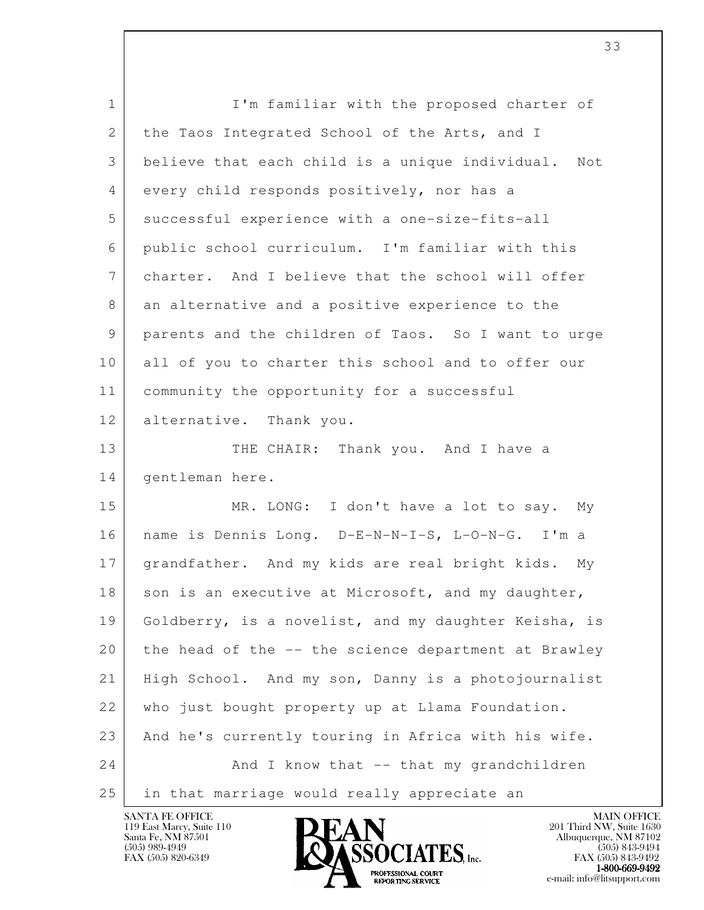| $\mathbf{1}$    | I'm familiar with the proposed charter of              |
|-----------------|--------------------------------------------------------|
| 2               | the Taos Integrated School of the Arts, and I          |
| 3               | believe that each child is a unique individual.<br>Not |
| 4               | every child responds positively, nor has a             |
| 5               | successful experience with a one-size-fits-all         |
| 6               | public school curriculum. I'm familiar with this       |
| $7\phantom{.0}$ | charter. And I believe that the school will offer      |
| 8               | an alternative and a positive experience to the        |
| 9               | parents and the children of Taos. So I want to urge    |
| 10              | all of you to charter this school and to offer our     |
| 11              | community the opportunity for a successful             |
| 12              | alternative. Thank you.                                |
| 13              | THE CHAIR:<br>Thank you. And I have a                  |
| 14              | gentleman here.                                        |
| 15              | MR. LONG: I don't have a lot to say. My                |
| 16              | name is Dennis Long. D-E-N-N-I-S, L-O-N-G. I'm a       |
| 17              | grandfather. And my kids are real bright kids. My      |
| 18              | son is an executive at Microsoft, and my daughter,     |
| 19              | Goldberry, is a novelist, and my daughter Keisha, is   |
| 20              | the head of the -- the science department at Brawley   |
| 21              | High School. And my son, Danny is a photojournalist    |
| 22              | who just bought property up at Llama Foundation.       |
| 23              | And he's currently touring in Africa with his wife.    |
| 24              | And I know that -- that my grandchildren               |
| 25              | in that marriage would really appreciate an            |

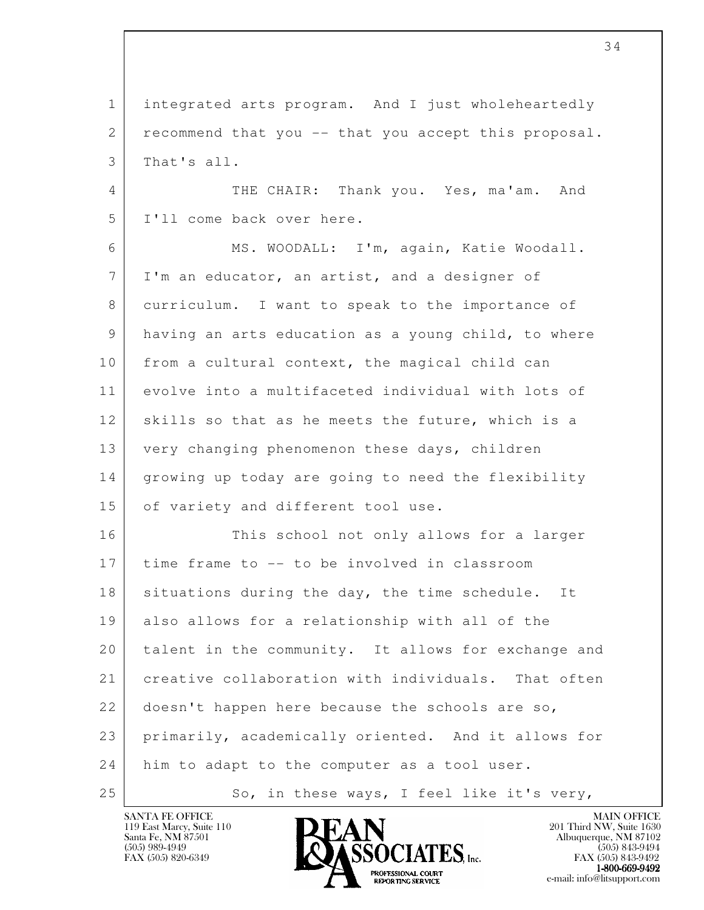1 integrated arts program. And I just wholeheartedly 2 recommend that you -- that you accept this proposal. 3 That's all.

4 THE CHAIR: Thank you. Yes, ma'am. And 5 I'll come back over here.

 6 MS. WOODALL: I'm, again, Katie Woodall. 7 I'm an educator, an artist, and a designer of 8 curriculum. I want to speak to the importance of 9 having an arts education as a young child, to where 10 from a cultural context, the magical child can 11 evolve into a multifaceted individual with lots of 12 skills so that as he meets the future, which is a 13 very changing phenomenon these days, children 14 | growing up today are going to need the flexibility 15 of variety and different tool use.

l 16 This school not only allows for a larger 17 time frame to -- to be involved in classroom 18 situations during the day, the time schedule. It 19 also allows for a relationship with all of the 20 talent in the community. It allows for exchange and 21 creative collaboration with individuals. That often 22 doesn't happen here because the schools are so, 23 primarily, academically oriented. And it allows for 24 him to adapt to the computer as a tool user. 25 So, in these ways, I feel like it's very,

119 East Marcy, Suite 110<br>Santa Fe, NM 87501



FAX (505) 843-9492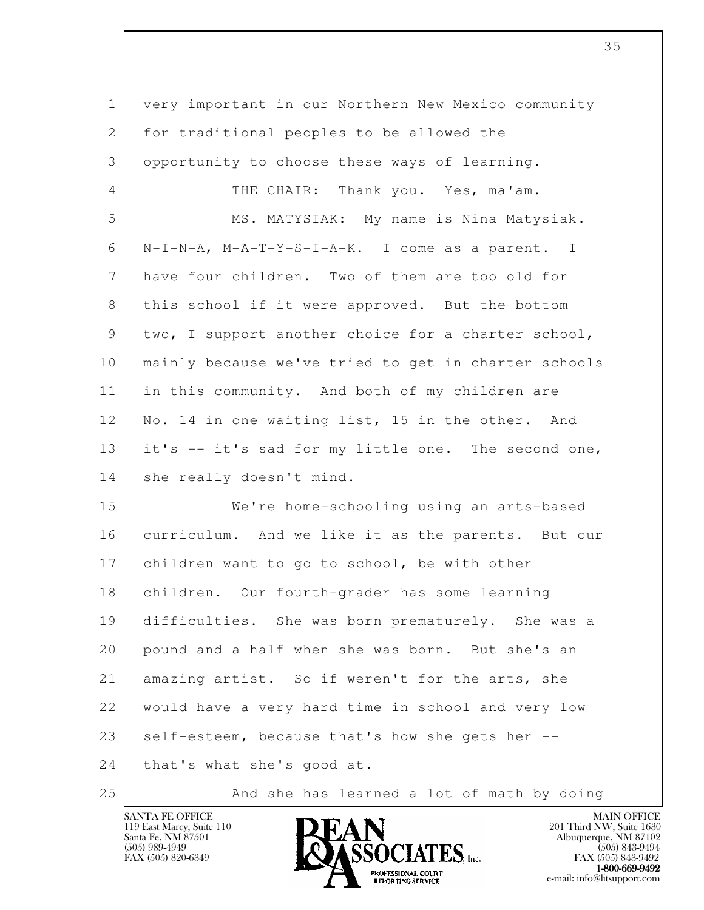| $\mathbf 1$  | very important in our Northern New Mexico community  |
|--------------|------------------------------------------------------|
| $\mathbf{2}$ | for traditional peoples to be allowed the            |
| 3            | opportunity to choose these ways of learning.        |
| 4            | THE CHAIR: Thank you. Yes, ma'am.                    |
| 5            | MS. MATYSIAK: My name is Nina Matysiak.              |
| 6            | N-I-N-A, M-A-T-Y-S-I-A-K. I come as a parent. I      |
| 7            | have four children. Two of them are too old for      |
| 8            | this school if it were approved. But the bottom      |
| 9            | two, I support another choice for a charter school,  |
| 10           | mainly because we've tried to get in charter schools |
| 11           | in this community. And both of my children are       |
| 12           | No. 14 in one waiting list, 15 in the other. And     |
| 13           | it's -- it's sad for my little one. The second one,  |
| 14           | she really doesn't mind.                             |
| 15           | We're home-schooling using an arts-based             |
| 16           | curriculum. And we like it as the parents. But our   |
| 17           | children want to go to school, be with other         |
| 18           | children. Our fourth-grader has some learning        |
| 19           | difficulties. She was born prematurely. She was a    |
| 20           | pound and a half when she was born. But she's an     |
| 21           | amazing artist. So if weren't for the arts, she      |
| 22           | would have a very hard time in school and very low   |
| 23           | self-esteem, because that's how she gets her --      |
| 24           | that's what she's good at.                           |
|              |                                                      |



25 And she has learned a lot of math by doing

e-mail: info@litsupport.com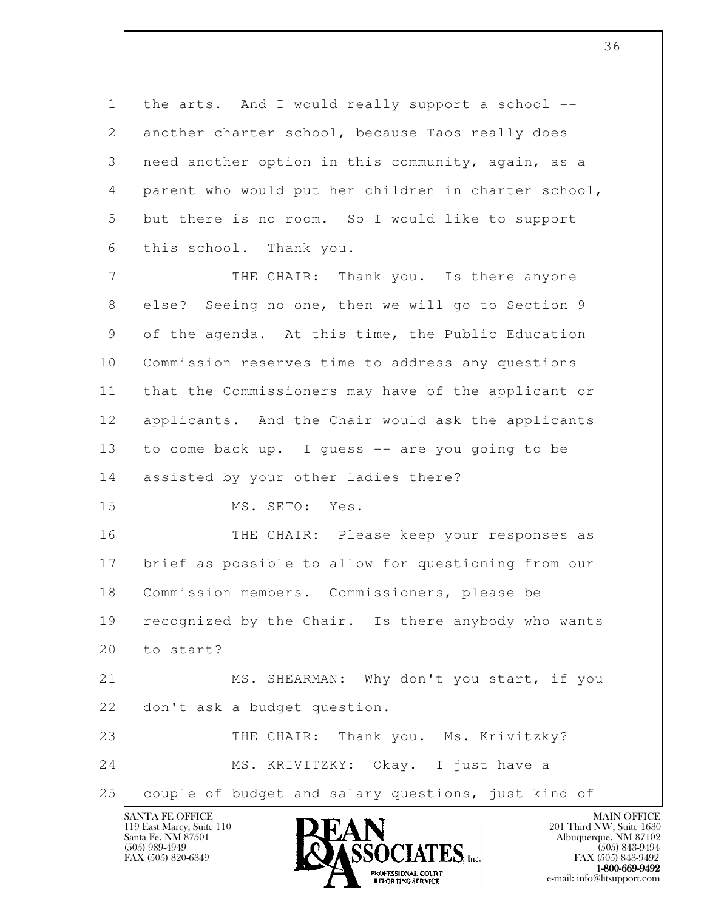1 the arts. And I would really support a school -- 2 another charter school, because Taos really does 3 need another option in this community, again, as a 4 parent who would put her children in charter school, 5 but there is no room. So I would like to support 6 this school. Thank you.

7 THE CHAIR: Thank you. Is there anyone 8 else? Seeing no one, then we will go to Section 9 9 of the agenda. At this time, the Public Education 10 Commission reserves time to address any questions 11 that the Commissioners may have of the applicant or 12 applicants. And the Chair would ask the applicants 13 to come back up. I guess -- are you going to be 14 | assisted by your other ladies there? 15 MS. SETO: Yes.

 16 THE CHAIR: Please keep your responses as 17 brief as possible to allow for questioning from our 18 Commission members. Commissioners, please be 19 recognized by the Chair. Is there anybody who wants 20 to start?

l 21 MS. SHEARMAN: Why don't you start, if you 22 don't ask a budget question. 23 THE CHAIR: Thank you. Ms. Krivitzky? 24 MS. KRIVITZKY: Okay. I just have a

25 | couple of budget and salary questions, just kind of

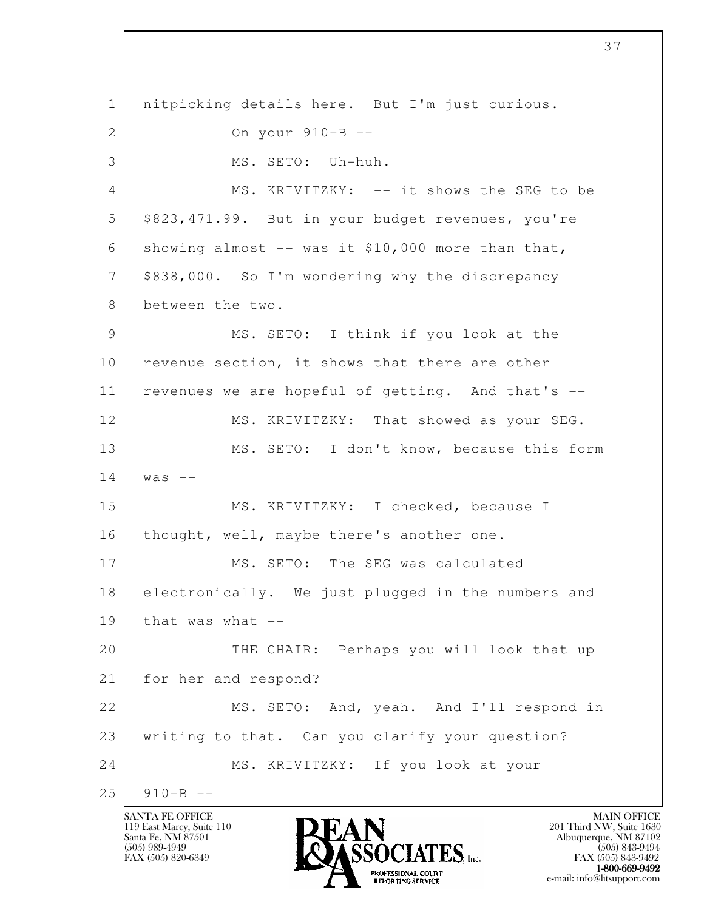l 1 nitpicking details here. But I'm just curious. 2 On your 910-B -- 3 MS. SETO: Uh-huh. 4 MS. KRIVITZKY: -- it shows the SEG to be 5 | \$823,471.99. But in your budget revenues, you're 6 showing almost  $-$  was it \$10,000 more than that, 7 | \$838,000. So I'm wondering why the discrepancy 8 between the two. 9 MS. SETO: I think if you look at the 10 | revenue section, it shows that there are other 11 revenues we are hopeful of getting. And that's -- 12 MS. KRIVITZKY: That showed as your SEG. 13 MS. SETO: I don't know, because this form  $14$  was  $-$ 15 MS. KRIVITZKY: I checked, because I 16 | thought, well, maybe there's another one. 17 MS. SETO: The SEG was calculated 18 electronically. We just plugged in the numbers and  $19$  that was what  $-$ 20 THE CHAIR: Perhaps you will look that up 21 for her and respond? 22 MS. SETO: And, yeah. And I'll respond in 23 writing to that. Can you clarify your question? 24 MS. KRIVITZKY: If you look at your  $25$  910-B --

119 East Marcy, Suite 110<br>Santa Fe, NM 87501

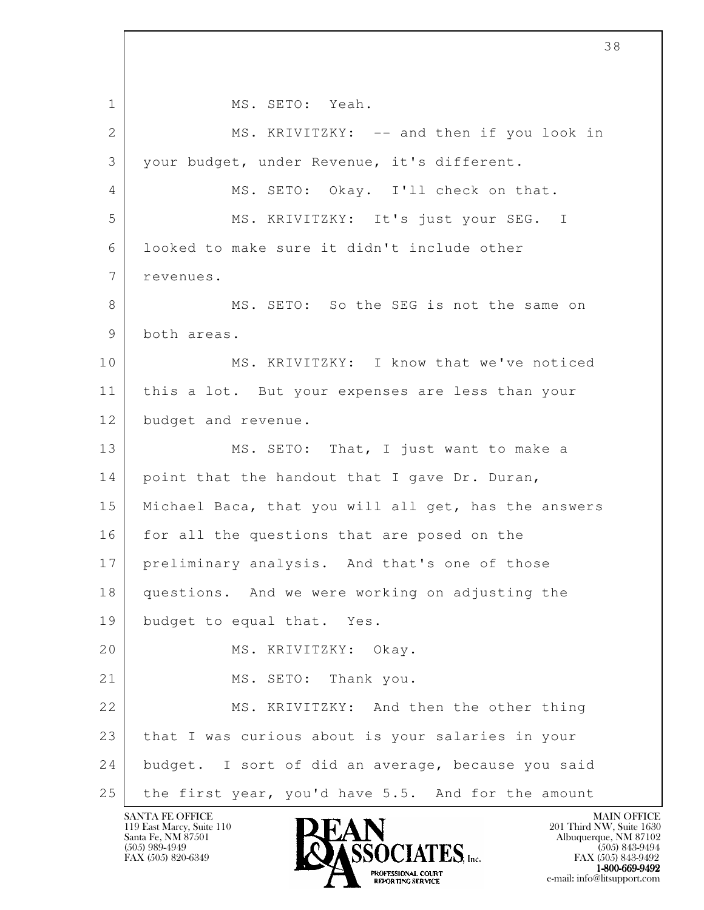l 1 MS. SETO: Yeah. 2 MS. KRIVITZKY: -- and then if you look in 3 your budget, under Revenue, it's different. 4 MS. SETO: Okay. I'll check on that. 5 MS. KRIVITZKY: It's just your SEG. I 6 looked to make sure it didn't include other 7 revenues. 8 MS. SETO: So the SEG is not the same on 9 both areas. 10 MS. KRIVITZKY: I know that we've noticed 11 this a lot. But your expenses are less than your 12 budget and revenue. 13 MS. SETO: That, I just want to make a 14 point that the handout that I gave Dr. Duran, 15 Michael Baca, that you will all get, has the answers 16 for all the questions that are posed on the 17 preliminary analysis. And that's one of those 18 questions. And we were working on adjusting the 19 budget to equal that. Yes. 20 MS. KRIVITZKY: Okay. 21 MS. SETO: Thank you. 22 MS. KRIVITZKY: And then the other thing 23 that I was curious about is your salaries in your 24 budget. I sort of did an average, because you said 25 the first year, you'd have 5.5. And for the amount

119 East Marcy, Suite 110<br>Santa Fe, NM 87501

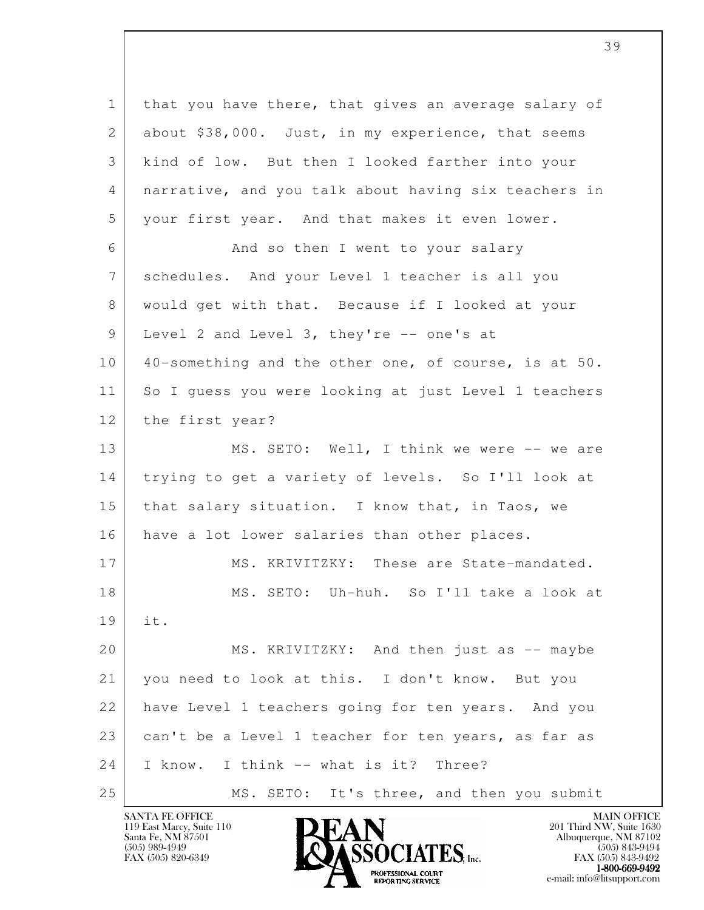l 1 that you have there, that gives an average salary of 2 about \$38,000. Just, in my experience, that seems 3 kind of low. But then I looked farther into your 4 narrative, and you talk about having six teachers in 5 your first year. And that makes it even lower. 6 | Rand so then I went to your salary 7 schedules. And your Level 1 teacher is all you 8 would get with that. Because if I looked at your 9 Level 2 and Level 3, they're -- one's at 10 40-something and the other one, of course, is at 50. 11 So I guess you were looking at just Level 1 teachers 12 the first year? 13 MS. SETO: Well, I think we were -- we are 14 trying to get a variety of levels. So I'll look at 15 that salary situation. I know that, in Taos, we 16 have a lot lower salaries than other places. 17 MS. KRIVITZKY: These are State-mandated. 18 MS. SETO: Uh-huh. So I'll take a look at 19 it. 20 MS. KRIVITZKY: And then just as -- maybe 21 | you need to look at this. I don't know. But you 22 have Level 1 teachers going for ten years. And you 23 can't be a Level 1 teacher for ten years, as far as 24 I know. I think -- what is it? Three? 25 MS. SETO: It's three, and then you submit

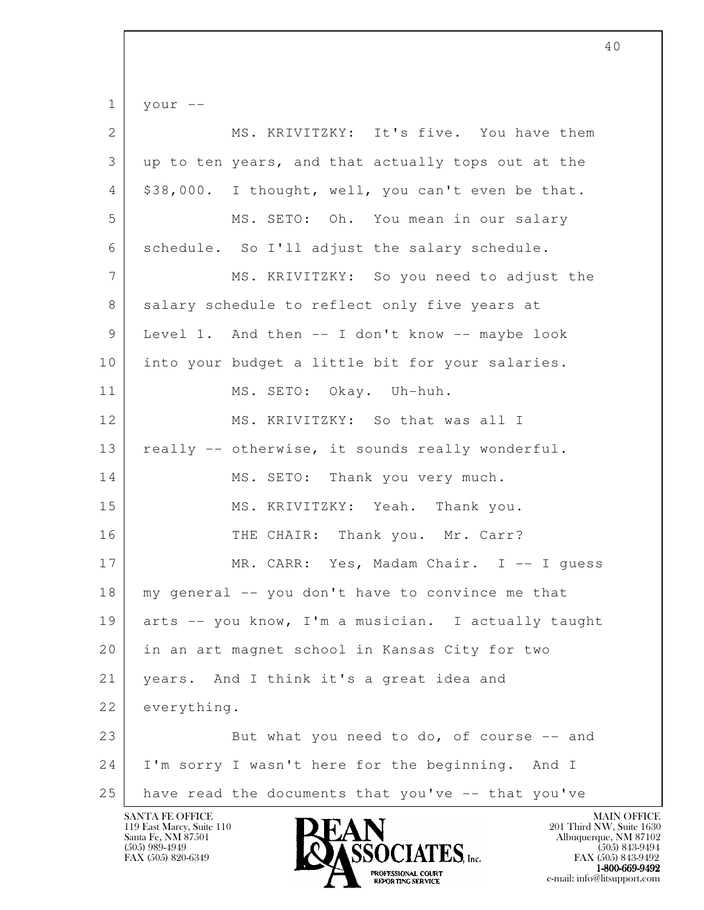l  $1$  your  $-$ 2 MS. KRIVITZKY: It's five. You have them 3 up to ten years, and that actually tops out at the  $4 \mid 338,000$ . I thought, well, you can't even be that. 5 MS. SETO: Oh. You mean in our salary 6 schedule. So I'll adjust the salary schedule. 7 MS. KRIVITZKY: So you need to adjust the 8 salary schedule to reflect only five years at 9 Level 1. And then -- I don't know -- maybe look 10 into your budget a little bit for your salaries. 11 MS. SETO: Okay. Uh-huh. 12 MS. KRIVITZKY: So that was all I 13 | really -- otherwise, it sounds really wonderful. 14 MS. SETO: Thank you very much. 15 MS. KRIVITZKY: Yeah. Thank you. 16 THE CHAIR: Thank you. Mr. Carr? 17 MR. CARR: Yes, Madam Chair. I -- I quess 18 my general -- you don't have to convince me that 19 arts -- you know, I'm a musician. I actually taught 20 in an art magnet school in Kansas City for two 21 | years. And I think it's a great idea and 22 everything. 23 But what you need to do, of course -- and 24 I'm sorry I wasn't here for the beginning. And I  $25$  have read the documents that you've  $-$  that you've

40

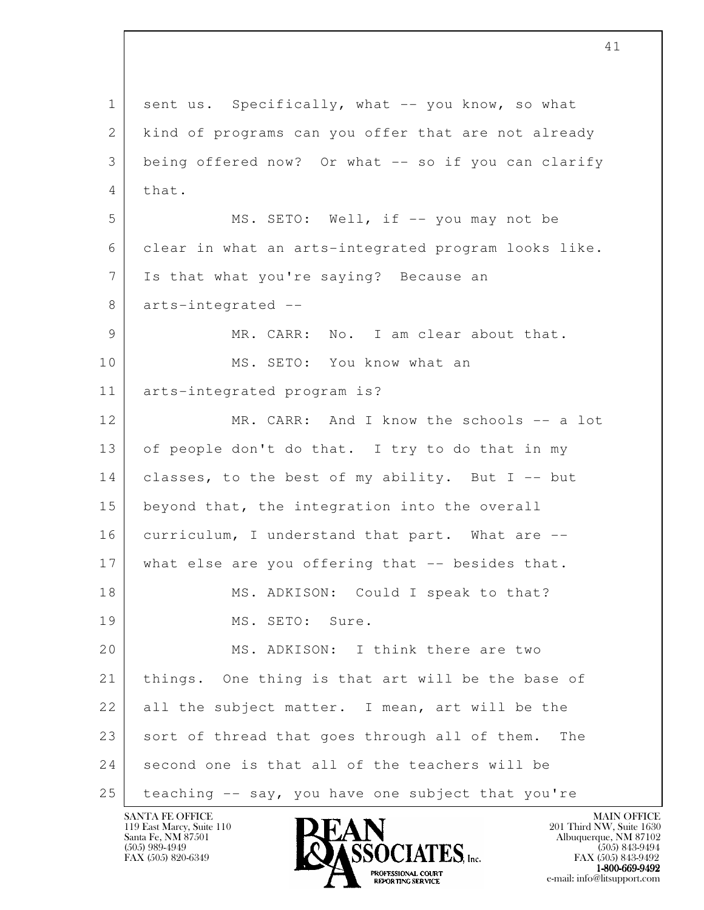l 1 sent us. Specifically, what -- you know, so what 2 kind of programs can you offer that are not already 3 being offered now? Or what -- so if you can clarify 4 that. 5 | MS. SETO: Well, if -- you may not be 6 clear in what an arts-integrated program looks like. 7 Is that what you're saying? Because an 8 arts-integrated -- 9 MR. CARR: No. I am clear about that. 10 MS. SETO: You know what an 11 arts-integrated program is? 12 | MR. CARR: And I know the schools -- a lot 13 of people don't do that. I try to do that in my 14 classes, to the best of my ability. But I -- but 15 beyond that, the integration into the overall 16 curriculum, I understand that part. What are --17 what else are you offering that -- besides that. 18 MS. ADKISON: Could I speak to that? 19 MS. SETO: Sure. 20 MS. ADKISON: I think there are two 21 things. One thing is that art will be the base of 22 all the subject matter. I mean, art will be the 23 sort of thread that goes through all of them. The 24 second one is that all of the teachers will be 25 teaching -- say, you have one subject that you're

119 East Marcy, Suite 110<br>Santa Fe, NM 87501



FAX (505) 843-9492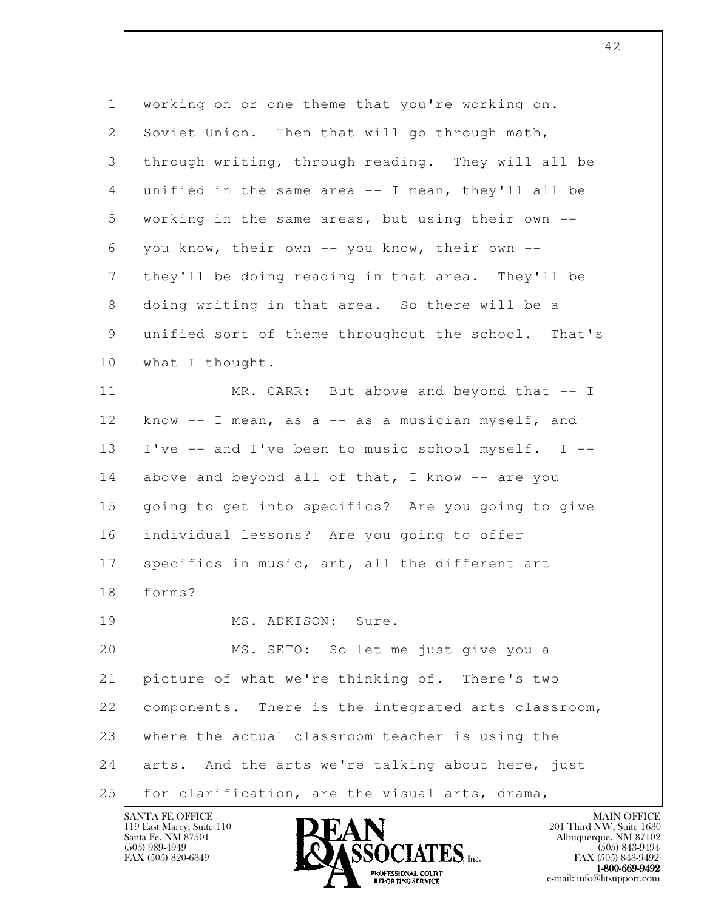| $\mathbf{1}$ | working on or one theme that you're working on.       |
|--------------|-------------------------------------------------------|
| $\mathbf{2}$ | Soviet Union. Then that will go through math,         |
| 3            | through writing, through reading. They will all be    |
| 4            | unified in the same area $-$ - I mean, they'll all be |
| 5            | working in the same areas, but using their own --     |
| 6            | you know, their own -- you know, their own --         |
| 7            | they'll be doing reading in that area. They'll be     |
| 8            | doing writing in that area. So there will be a        |
| 9            | unified sort of theme throughout the school. That's   |
| 10           | what I thought.                                       |
| 11           | MR. CARR: But above and beyond that -- I              |
| 12           | know $-$ I mean, as a $-$ as a musician myself, and   |
| 13           | I've -- and I've been to music school myself. I --    |
| 14           | above and beyond all of that, I know -- are you       |
| 15           | going to get into specifics? Are you going to give    |
| 16           | individual lessons? Are you going to offer            |
| 17           | specifics in music, art, all the different art        |
| 18           | forms?                                                |
| 19           | MS. ADKISON: Sure.                                    |
| 20           | MS. SETO: So let me just give you a                   |
| 21           | picture of what we're thinking of. There's two        |
| 22           | components. There is the integrated arts classroom,   |
| 23           | where the actual classroom teacher is using the       |
| 24           | arts. And the arts we're talking about here, just     |
| 25           | for clarification, are the visual arts, drama,        |

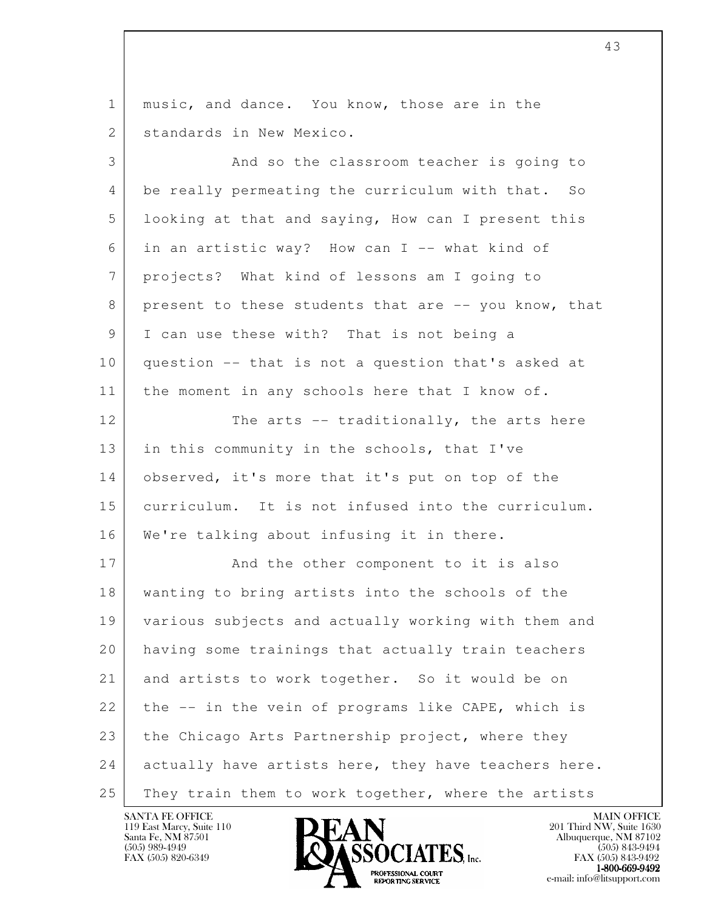l 1 music, and dance. You know, those are in the 2 standards in New Mexico. 3 And so the classroom teacher is going to 4 be really permeating the curriculum with that. So 5 looking at that and saying, How can I present this 6 in an artistic way? How can I  $-$  what kind of 7 projects? What kind of lessons am I going to 8 present to these students that are -- you know, that 9 I can use these with? That is not being a 10 question -- that is not a question that's asked at 11 | the moment in any schools here that I know of. 12 The arts -- traditionally, the arts here 13 in this community in the schools, that I've 14 observed, it's more that it's put on top of the 15 curriculum. It is not infused into the curriculum. 16 | We're talking about infusing it in there. 17 And the other component to it is also 18 wanting to bring artists into the schools of the 19 various subjects and actually working with them and 20 having some trainings that actually train teachers 21 and artists to work together. So it would be on  $22$  the  $-$  in the vein of programs like CAPE, which is 23 the Chicago Arts Partnership project, where they 24 actually have artists here, they have teachers here. 25 They train them to work together, where the artists

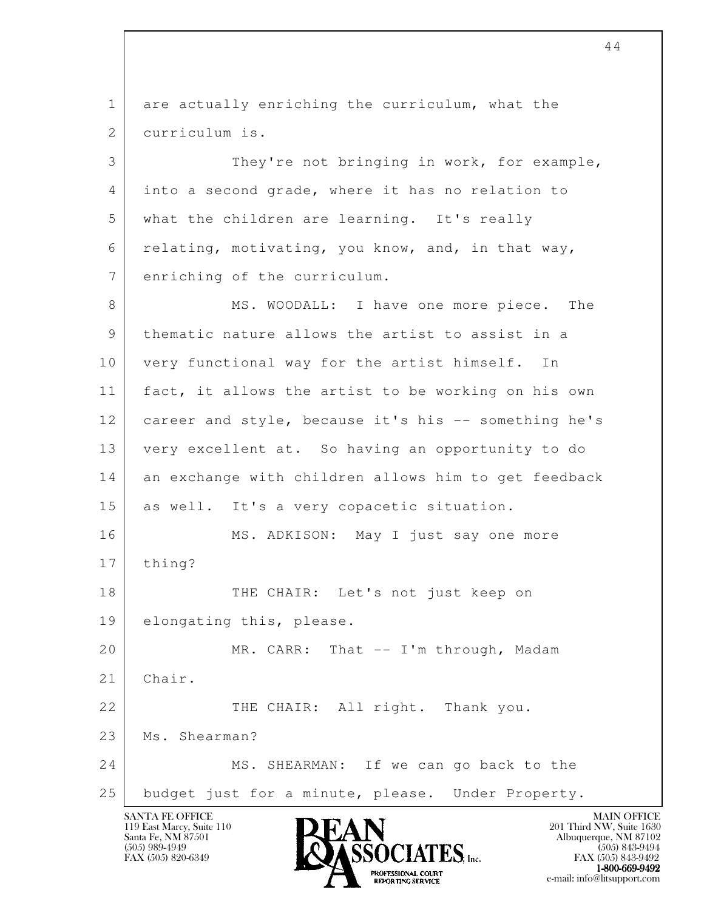l SANTA FE OFFICE MAIN OFFICE MAIN OFFICE MAIN OFFICE MAIN OFFICE 119 East Marcy, Suite 110<br>Santa Fe, NM 87501 1 are actually enriching the curriculum, what the 2 curriculum is. 3 They're not bringing in work, for example, 4 into a second grade, where it has no relation to 5 what the children are learning. It's really 6 relating, motivating, you know, and, in that way, 7 enriching of the curriculum. 8 MS. WOODALL: I have one more piece. The 9 thematic nature allows the artist to assist in a 10 | very functional way for the artist himself. In 11 fact, it allows the artist to be working on his own 12 career and style, because it's his -- something he's 13 very excellent at. So having an opportunity to do 14 an exchange with children allows him to get feedback 15 as well. It's a very copacetic situation. 16 MS. ADKISON: May I just say one more 17 | thing? 18 THE CHAIR: Let's not just keep on 19 elongating this, please. 20 MR. CARR: That -- I'm through, Madam 21 Chair. 22 | THE CHAIR: All right. Thank you. 23 Ms. Shearman? 24 MS. SHEARMAN: If we can go back to the 25 budget just for a minute, please. Under Property.

Santa Fe, NM 87501 Albuquerque, NM 87102  $\overline{\text{S5OCIATS}}$  [505) 989-4949<br>FAX (505) 843-9494 (505) 843-9494

FAX (505) 843-9492  $1-800-669-9492$ <br>PROFESSIONAL COURT **EXPORTING SERVICE** EXPLORER THE REPORTING SERVICE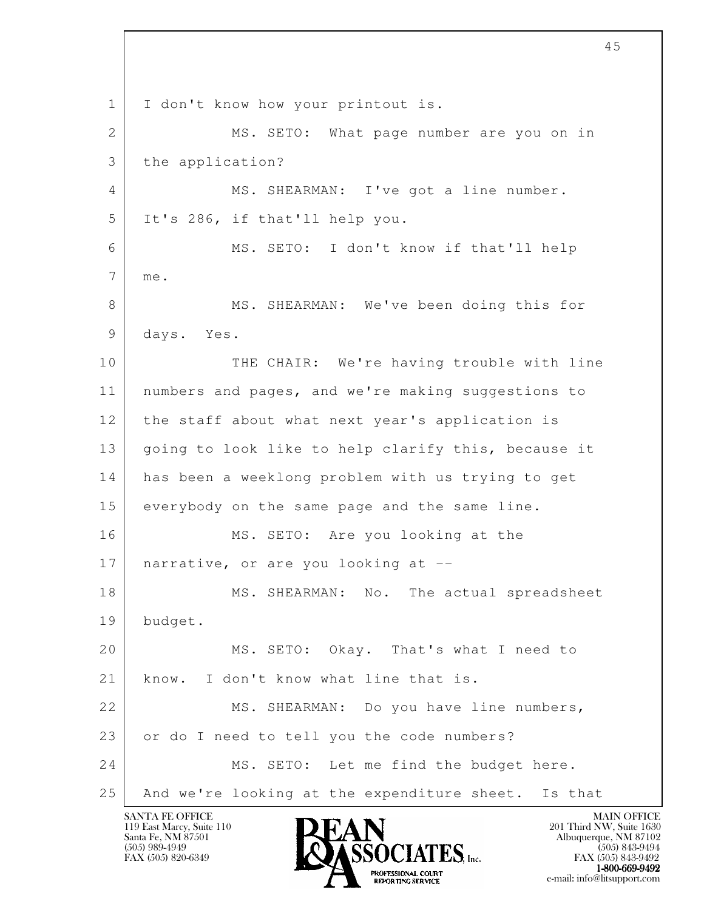l 1 I don't know how your printout is. 2 MS. SETO: What page number are you on in 3 the application? 4 MS. SHEARMAN: I've got a line number. 5 It's 286, if that'll help you. 6 MS. SETO: I don't know if that'll help 7 me. 8 MS. SHEARMAN: We've been doing this for 9 days. Yes. 10 THE CHAIR: We're having trouble with line 11 numbers and pages, and we're making suggestions to 12 the staff about what next year's application is 13 | going to look like to help clarify this, because it 14 has been a weeklong problem with us trying to get 15 everybody on the same page and the same line. 16 MS. SETO: Are you looking at the 17 | narrative, or are you looking at --18 MS. SHEARMAN: No. The actual spreadsheet 19 budget. 20 MS. SETO: Okay. That's what I need to 21 know. I don't know what line that is. 22 MS. SHEARMAN: Do you have line numbers, 23 | or do I need to tell you the code numbers? 24 MS. SETO: Let me find the budget here. 25 And we're looking at the expenditure sheet. Is that

119 East Marcy, Suite 110<br>Santa Fe, NM 87501



FAX (505) 843-9492  $1-800-669-9492$ <br>PROFESSIONAL COURT **EXPORTING SERVICE** EXPLORER THE REPORTING SERVICE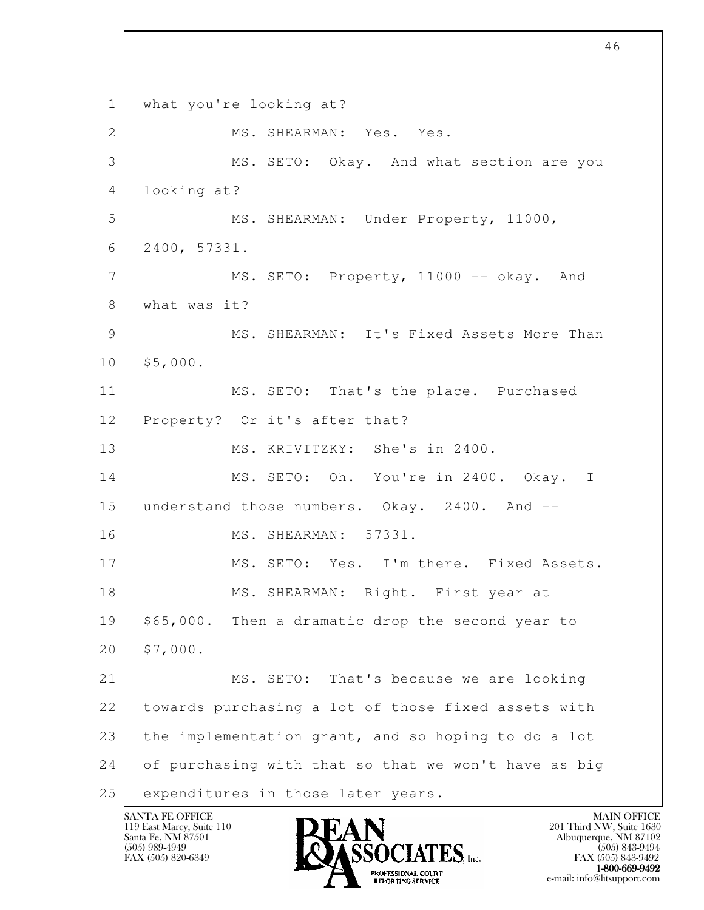l 1 | what you're looking at? 2 MS. SHEARMAN: Yes. Yes. 3 MS. SETO: Okay. And what section are you 4 looking at? 5 MS. SHEARMAN: Under Property, 11000, 6 2400, 57331. 7 MS. SETO: Property, 11000 -- okay. And 8 what was it? 9 MS. SHEARMAN: It's Fixed Assets More Than  $10 \mid$ \$5,000. 11 MS. SETO: That's the place. Purchased 12 Property? Or it's after that? 13 MS. KRIVITZKY: She's in 2400. 14 | MS. SETO: Oh. You're in 2400. Okay. I 15 understand those numbers. Okay. 2400. And --16 | MS. SHEARMAN: 57331. 17 MS. SETO: Yes. I'm there. Fixed Assets. 18 MS. SHEARMAN: Right. First year at 19 | \$65,000. Then a dramatic drop the second year to  $20 \mid$ \$7,000. 21 MS. SETO: That's because we are looking 22 towards purchasing a lot of those fixed assets with 23 the implementation grant, and so hoping to do a lot 24 of purchasing with that so that we won't have as big 25 | expenditures in those later years.

119 East Marcy, Suite 110<br>Santa Fe, NM 87501

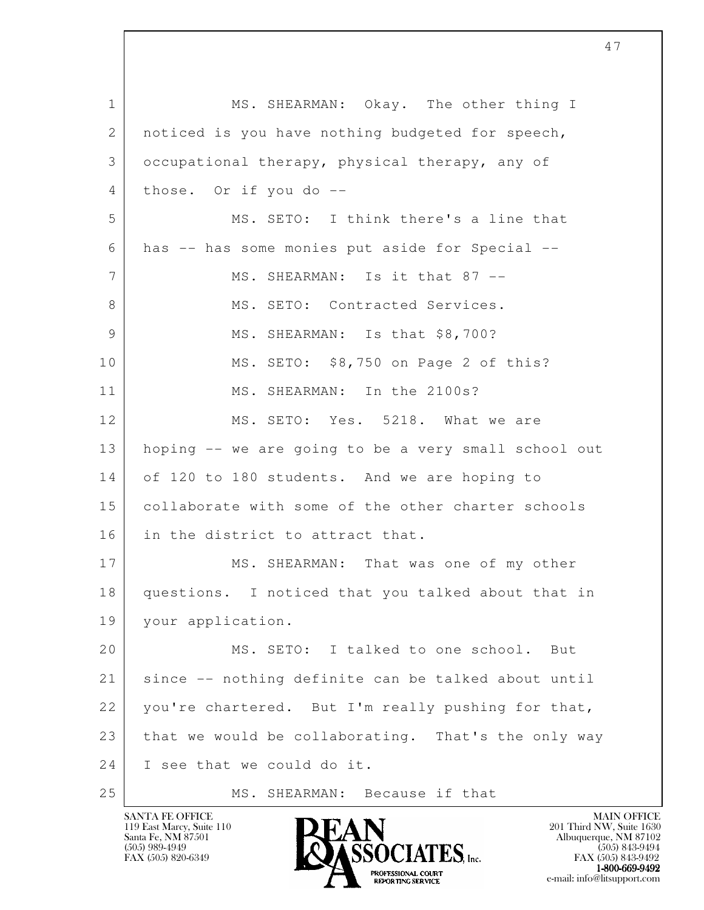l 1 MS. SHEARMAN: Okay. The other thing I 2 | noticed is you have nothing budgeted for speech, 3 occupational therapy, physical therapy, any of 4 those. Or if you do -- 5 MS. SETO: I think there's a line that 6 has -- has some monies put aside for Special -- 7 MS. SHEARMAN: Is it that 87 --8 MS. SETO: Contracted Services. 9 MS. SHEARMAN: Is that \$8,700? 10 MS. SETO: \$8,750 on Page 2 of this? 11 MS. SHEARMAN: In the 2100s? 12 MS. SETO: Yes. 5218. What we are 13 hoping -- we are going to be a very small school out 14 of 120 to 180 students. And we are hoping to 15 collaborate with some of the other charter schools 16 in the district to attract that. 17 MS. SHEARMAN: That was one of my other 18 questions. I noticed that you talked about that in 19 your application. 20 MS. SETO: I talked to one school. But 21 | since -- nothing definite can be talked about until 22 you're chartered. But I'm really pushing for that,  $23$  that we would be collaborating. That's the only way 24 I see that we could do it. 25 MS. SHEARMAN: Because if that

47

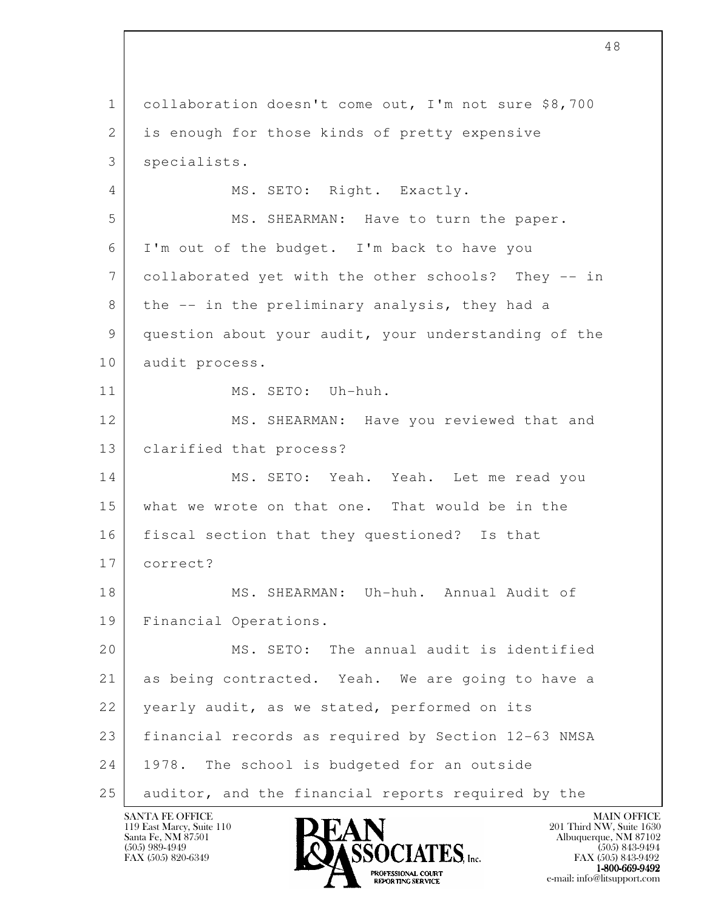l 1 collaboration doesn't come out, I'm not sure \$8,700 2 is enough for those kinds of pretty expensive 3 specialists. 4 MS. SETO: Right. Exactly. 5 MS. SHEARMAN: Have to turn the paper. 6 I'm out of the budget. I'm back to have you 7 collaborated yet with the other schools? They -- in 8 the -- in the preliminary analysis, they had a 9 question about your audit, your understanding of the 10 audit process. 11 MS. SETO: Uh-huh. 12 | MS. SHEARMAN: Have you reviewed that and 13 clarified that process? 14 MS. SETO: Yeah. Yeah. Let me read you 15 what we wrote on that one. That would be in the 16 fiscal section that they questioned? Is that 17 correct? 18 MS. SHEARMAN: Uh-huh. Annual Audit of 19 Financial Operations. 20 MS. SETO: The annual audit is identified 21 as being contracted. Yeah. We are going to have a 22 | yearly audit, as we stated, performed on its 23 financial records as required by Section 12-63 NMSA 24 1978. The school is budgeted for an outside 25 auditor, and the financial reports required by the

48

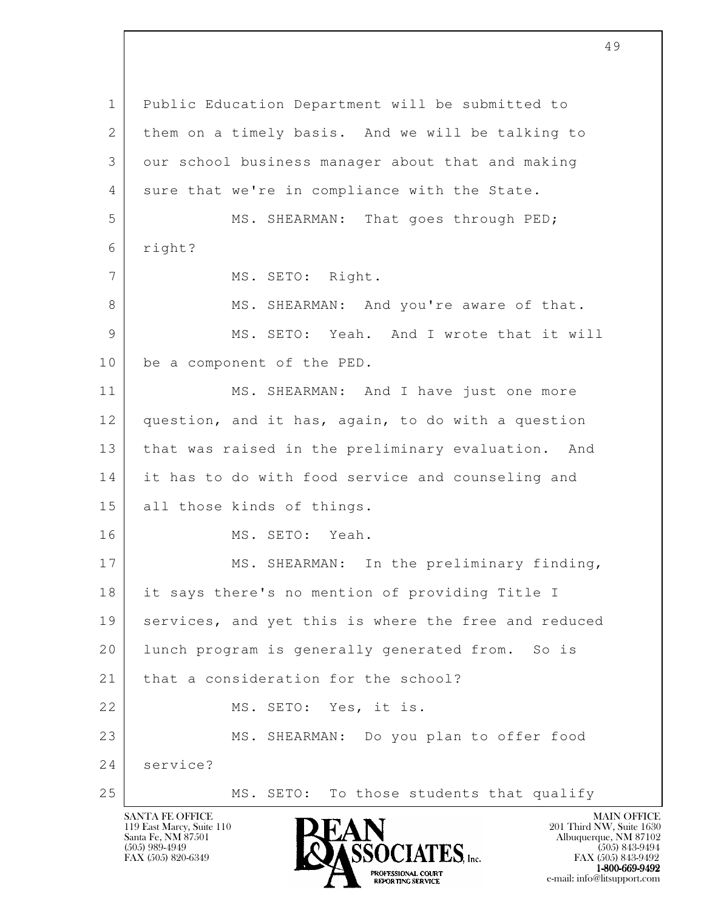| $\mathbf{1}$ | Public Education Department will be submitted to     |
|--------------|------------------------------------------------------|
| 2            | them on a timely basis. And we will be talking to    |
| 3            | our school business manager about that and making    |
| 4            | sure that we're in compliance with the State.        |
| 5            | MS. SHEARMAN: That goes through PED;                 |
| 6            | right?                                               |
| 7            | MS. SETO: Right.                                     |
| 8            | MS. SHEARMAN: And you're aware of that.              |
| 9            | MS. SETO: Yeah. And I wrote that it will             |
| 10           | be a component of the PED.                           |
| 11           | MS. SHEARMAN: And I have just one more               |
| 12           | question, and it has, again, to do with a question   |
| 13           | that was raised in the preliminary evaluation. And   |
| 14           | it has to do with food service and counseling and    |
| 15           | all those kinds of things.                           |
| 16           | MS. SETO: Yeah.                                      |
| 17           | In the preliminary finding,<br>MS. SHEARMAN:         |
| 18           | it says there's no mention of providing Title I      |
| 19           | services, and yet this is where the free and reduced |
| 20           | lunch program is generally generated from. So is     |
| 21           | that a consideration for the school?                 |
| 22           | MS. SETO: Yes, it is.                                |
| 23           | MS. SHEARMAN: Do you plan to offer food              |
| 24           | service?                                             |
| 25           | MS. SETO: To those students that qualify             |

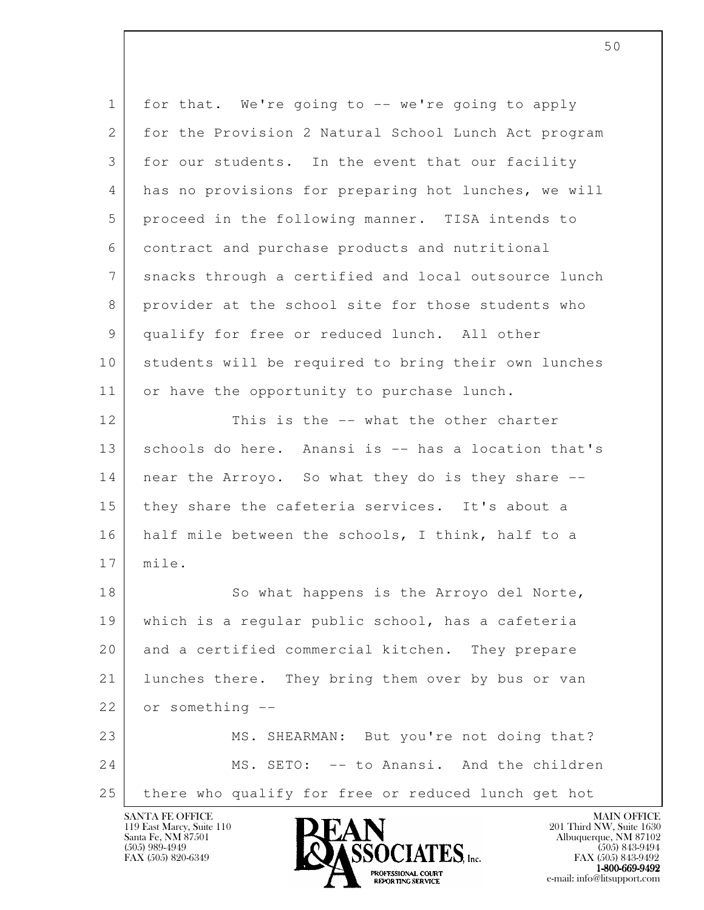| $\mathbf{1}$    | for that. We're going to -- we're going to apply     |
|-----------------|------------------------------------------------------|
| $\overline{2}$  | for the Provision 2 Natural School Lunch Act program |
| 3               | for our students. In the event that our facility     |
| 4               | has no provisions for preparing hot lunches, we will |
| 5               | proceed in the following manner. TISA intends to     |
| 6               | contract and purchase products and nutritional       |
| $7\phantom{.0}$ | snacks through a certified and local outsource lunch |
| 8               | provider at the school site for those students who   |
| 9               | qualify for free or reduced lunch. All other         |
| 10              | students will be required to bring their own lunches |
| 11              | or have the opportunity to purchase lunch.           |
| 12              | This is the -- what the other charter                |
| 13              | schools do here. Anansi is -- has a location that's  |
| 14              | near the Arroyo. So what they do is they share --    |
| 15              | they share the cafeteria services. It's about a      |
| 16              | half mile between the schools, I think, half to a    |
| 17              | mile.                                                |
| 18              | So what happens is the Arroyo del Norte,             |
| 19              | which is a regular public school, has a cafeteria    |
| 20              | and a certified commercial kitchen. They prepare     |
| 21              | lunches there. They bring them over by bus or van    |
| 22              | or something --                                      |
| 23              | MS. SHEARMAN: But you're not doing that?             |
| 24              | MS. SETO: -- to Anansi. And the children             |
| 25              | there who qualify for free or reduced lunch get hot  |

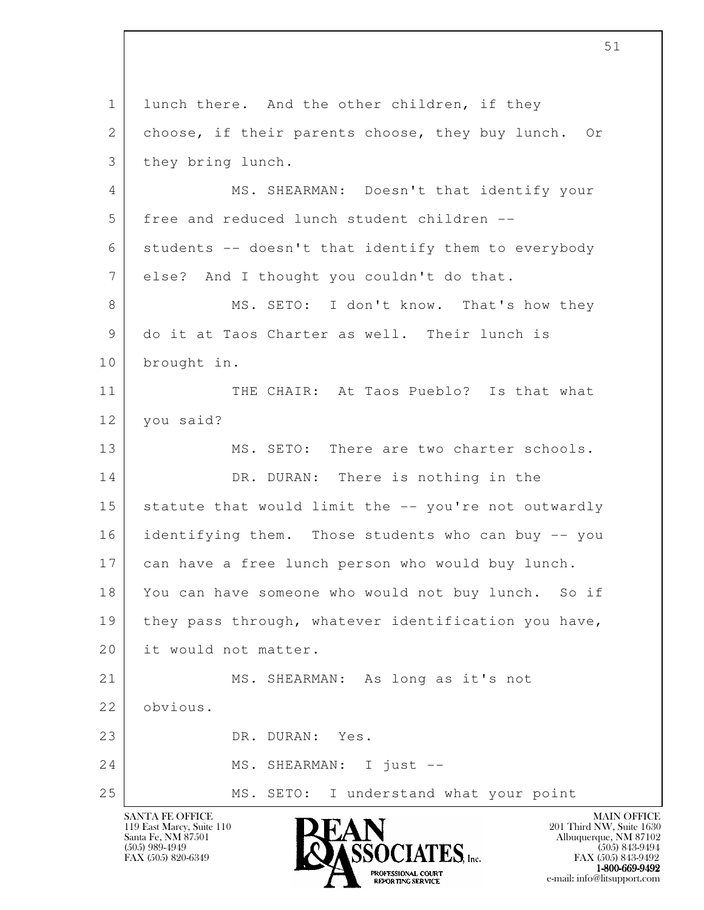l 1 | lunch there. And the other children, if they 2 choose, if their parents choose, they buy lunch. Or 3 they bring lunch. 4 MS. SHEARMAN: Doesn't that identify your 5 free and reduced lunch student children --  $6$  students  $-$  doesn't that identify them to everybody 7 else? And I thought you couldn't do that. 8 MS. SETO: I don't know. That's how they 9 do it at Taos Charter as well. Their lunch is 10 brought in. 11 THE CHAIR: At Taos Pueblo? Is that what 12 you said? 13 MS. SETO: There are two charter schools. 14 DR. DURAN: There is nothing in the 15 statute that would limit the -- you're not outwardly 16 identifying them. Those students who can buy -- you 17 can have a free lunch person who would buy lunch. 18 You can have someone who would not buy lunch. So if 19 | they pass through, whatever identification you have, 20 it would not matter. 21 MS. SHEARMAN: As long as it's not 22 obvious. 23 DR. DURAN: Yes. 24 MS. SHEARMAN: I just --25 | MS. SETO: I understand what your point

119 East Marcy, Suite 110<br>Santa Fe, NM 87501



FAX (505) 843-9492  $1-800-669-9492$ <br>PROFESSIONAL COURT **EXPORTING SERVICE** EXPLORER THE REPORTING SERVICE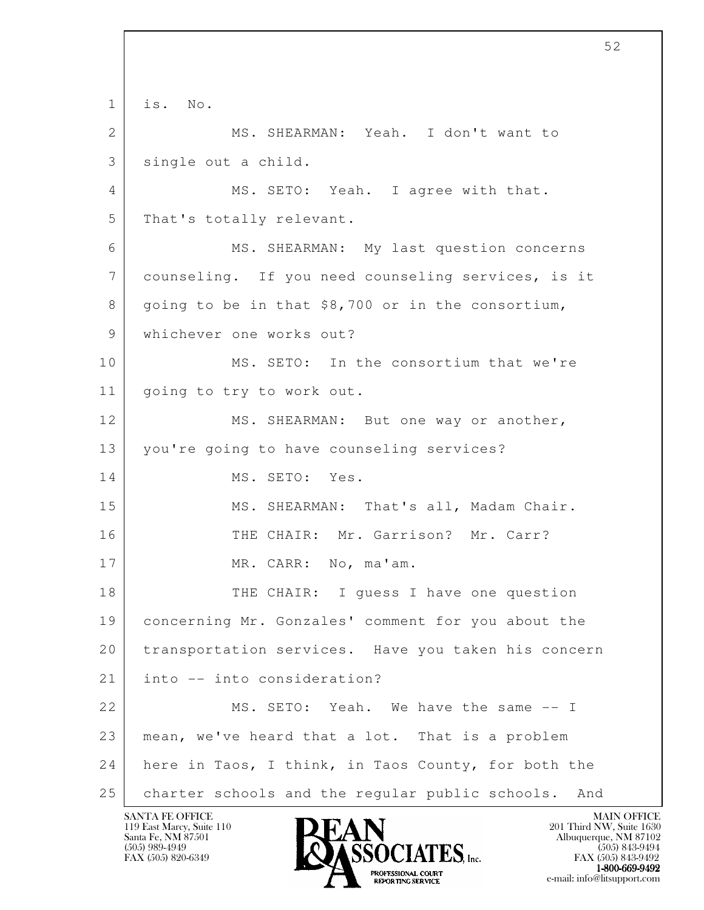l 1 is. No. 2 MS. SHEARMAN: Yeah. I don't want to 3 single out a child. 4 MS. SETO: Yeah. I agree with that. 5 That's totally relevant. 6 MS. SHEARMAN: My last question concerns 7 counseling. If you need counseling services, is it 8 going to be in that \$8,700 or in the consortium, 9 whichever one works out? 10 MS. SETO: In the consortium that we're 11 going to try to work out. 12 MS. SHEARMAN: But one way or another, 13 you're going to have counseling services? 14 MS. SETO: Yes. 15 | MS. SHEARMAN: That's all, Madam Chair. 16 THE CHAIR: Mr. Garrison? Mr. Carr? 17 MR. CARR: No, ma'am. 18 THE CHAIR: I quess I have one question 19 concerning Mr. Gonzales' comment for you about the 20 transportation services. Have you taken his concern 21 into -- into consideration? 22 MS. SETO: Yeah. We have the same  $-1$  23 mean, we've heard that a lot. That is a problem 24 here in Taos, I think, in Taos County, for both the 25 | charter schools and the regular public schools. And

119 East Marcy, Suite 110<br>Santa Fe, NM 87501

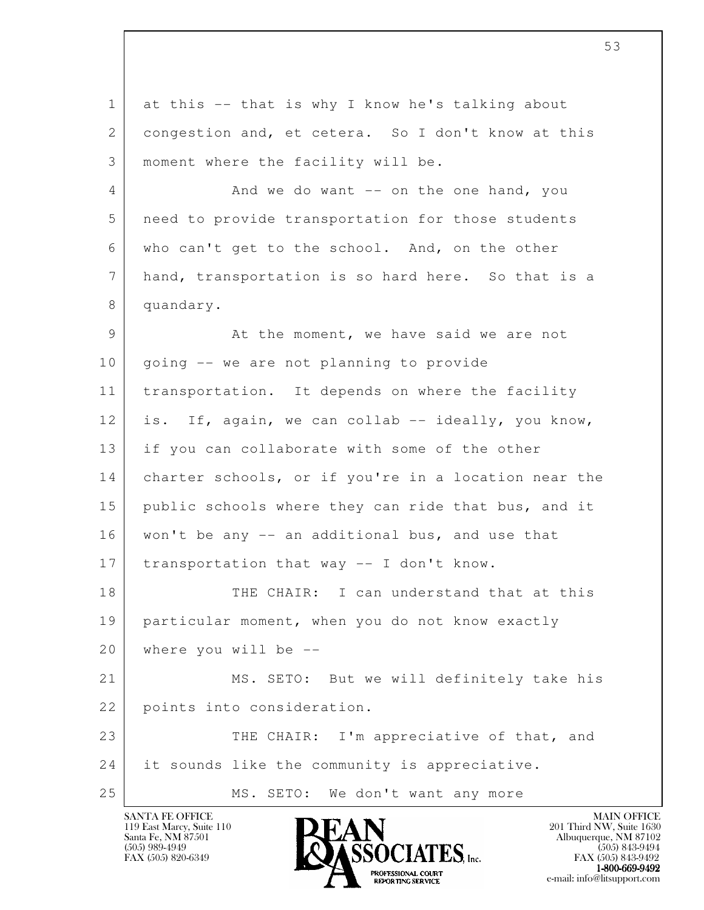l 1 at this -- that is why I know he's talking about 2 congestion and, et cetera. So I don't know at this 3 | moment where the facility will be. 4 And we do want -- on the one hand, you 5 need to provide transportation for those students 6 who can't get to the school. And, on the other 7 hand, transportation is so hard here. So that is a 8 quandary. 9 At the moment, we have said we are not 10 | going -- we are not planning to provide 11 transportation. It depends on where the facility 12 is. If, again, we can collab -- ideally, you know, 13 if you can collaborate with some of the other 14 charter schools, or if you're in a location near the 15 public schools where they can ride that bus, and it 16 | won't be any -- an additional bus, and use that 17 transportation that way  $-$  I don't know. 18 THE CHAIR: I can understand that at this 19 particular moment, when you do not know exactly 20 where you will be -- 21 MS. SETO: But we will definitely take his 22 points into consideration. 23 THE CHAIR: I'm appreciative of that, and 24 it sounds like the community is appreciative. 25 | MS. SETO: We don't want any more

119 East Marcy, Suite 110<br>Santa Fe, NM 87501

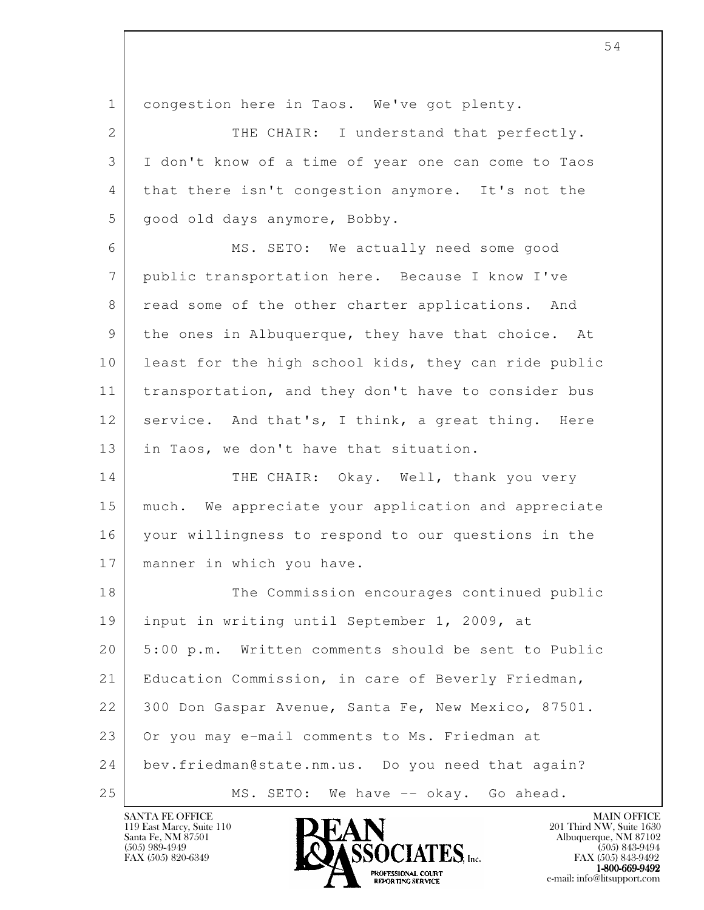l 1 congestion here in Taos. We've got plenty. 2 THE CHAIR: I understand that perfectly. 3 I don't know of a time of year one can come to Taos 4 that there isn't congestion anymore. It's not the 5 good old days anymore, Bobby. 6 MS. SETO: We actually need some good 7 public transportation here. Because I know I've 8 read some of the other charter applications. And 9 the ones in Albuquerque, they have that choice. At 10 least for the high school kids, they can ride public 11 | transportation, and they don't have to consider bus 12 service. And that's, I think, a great thing. Here 13 in Taos, we don't have that situation. 14 THE CHAIR: Okay. Well, thank you very 15 much. We appreciate your application and appreciate 16 your willingness to respond to our questions in the 17 | manner in which you have. 18 The Commission encourages continued public 19 input in writing until September 1, 2009, at 20 5:00 p.m. Written comments should be sent to Public 21 Education Commission, in care of Beverly Friedman, 22 300 Don Gaspar Avenue, Santa Fe, New Mexico, 87501. 23 Or you may e-mail comments to Ms. Friedman at 24 bev.friedman@state.nm.us. Do you need that again?

119 East Marcy, Suite 110<br>Santa Fe, NM 87501



25 MS. SETO: We have -- okay. Go ahead.

FAX (505) 843-9492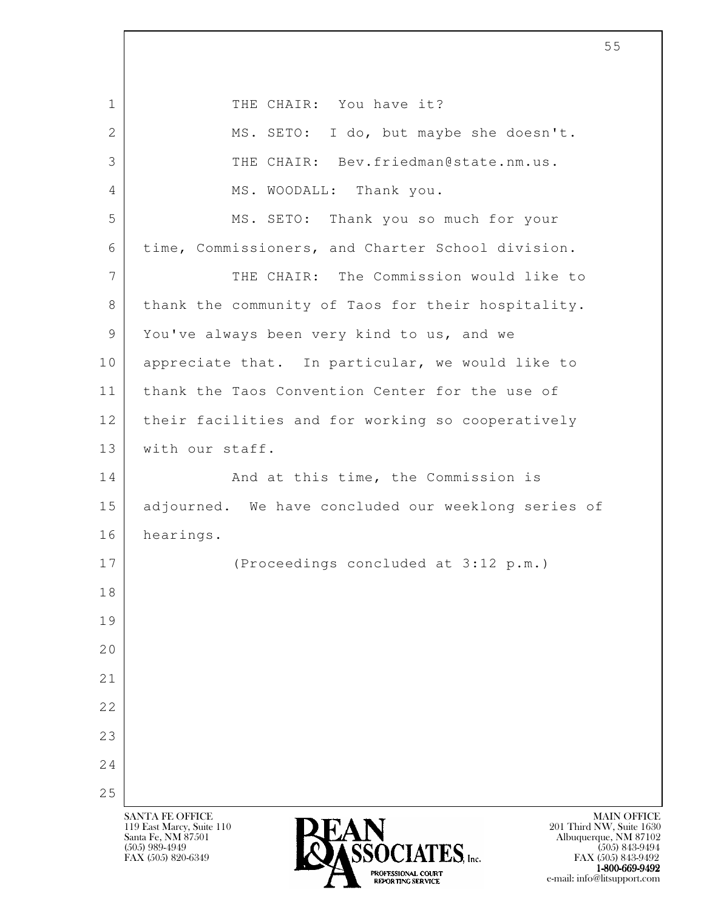l SANTA FE OFFICE MAIN OFFICE MAIN OFFICE MAIN OFFICE MAIN OFFICE 119 East Marcy, Suite 110<br>Santa Fe, NM 87501 Santa Fe, NM 87501 Albuquerque, NM 87102  $\overline{\text{S5OCIATS}}$  [505) 989-4949<br>FAX (505) 843-9494 (505) 843-9494 FAX (505) 843-9492 1 THE CHAIR: You have it? 2 MS. SETO: I do, but maybe she doesn't. 3 THE CHAIR: Bev.friedman@state.nm.us. 4 MS. WOODALL: Thank you. 5 MS. SETO: Thank you so much for your 6 time, Commissioners, and Charter School division. 7 THE CHAIR: The Commission would like to 8 | thank the community of Taos for their hospitality. 9 You've always been very kind to us, and we 10 appreciate that. In particular, we would like to 11 thank the Taos Convention Center for the use of 12 their facilities and for working so cooperatively 13 | with our staff. 14 And at this time, the Commission is 15 adjourned. We have concluded our weeklong series of 16 hearings. 17 (Proceedings concluded at 3:12 p.m.) 18 19 20 21 22 23 24 25

 $1-800-669-9492$ <br>PROFESSIONAL COURT **EXPORTING SERVICE** EXPLORER THE REPORTING SERVICE